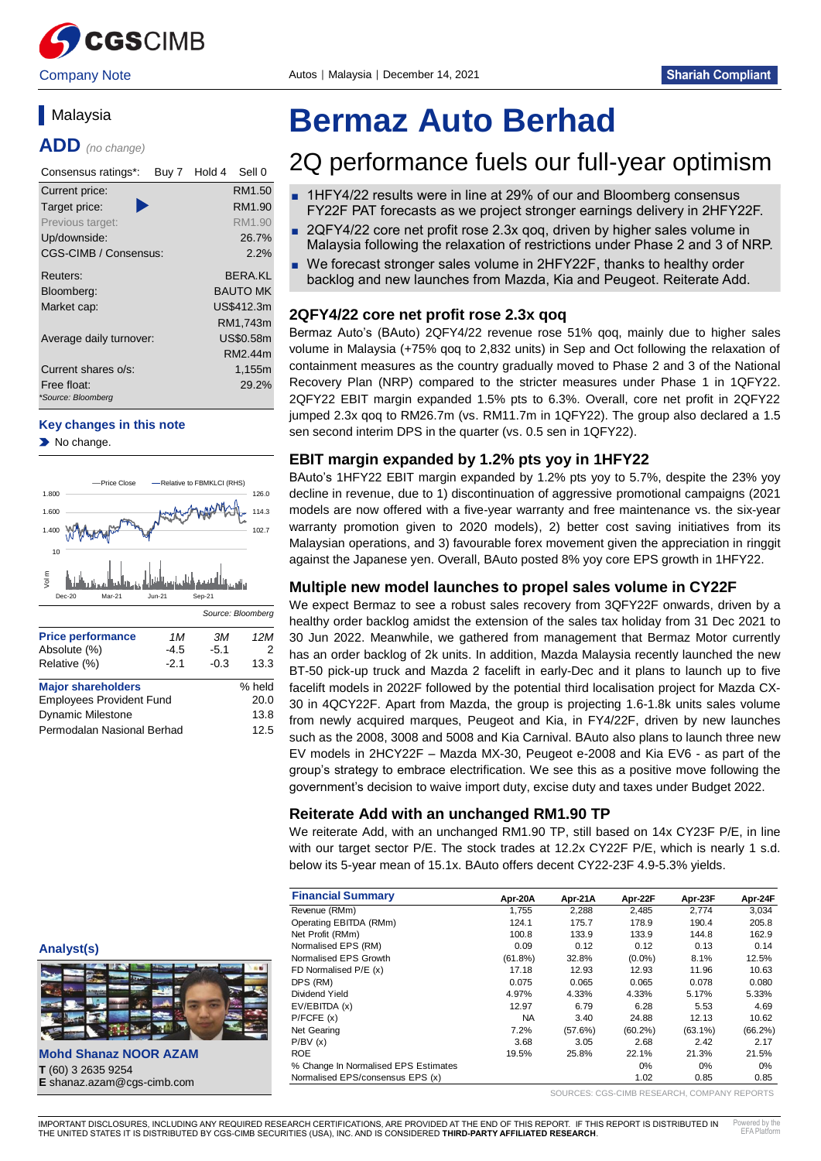

Company Note **Autos | Malaysia | December 14, 2021** 

# **Malaysia**

**ADD** *(no change)*

| Consensus ratings*:<br>Buy 7      | Hold 4<br>Sell 0 |
|-----------------------------------|------------------|
| Current price:                    | RM1.50           |
| Target price:                     | RM1.90           |
| Previous target:                  | RM1.90           |
| Up/downside:                      | 26.7%            |
| CGS-CIMB / Consensus:             | 2.2%             |
| Reuters:                          | BFRA.KI          |
| Bloomberg:                        | <b>BAUTO MK</b>  |
| Market cap:                       | US\$412.3m       |
|                                   | RM1,743m         |
| Average daily turnover:           | US\$0.58m        |
|                                   | RM2.44m          |
| Current shares o/s:               | 1,155m           |
| Free float:<br>*Source: Bloomberg | 29.2%            |
|                                   |                  |

#### **Key changes in this note**

No change.



| 110001010111                    | –      |        |        |
|---------------------------------|--------|--------|--------|
| Relative (%)                    | $-2.1$ | $-0.3$ | 13.3   |
| <b>Major shareholders</b>       |        |        | % held |
| <b>Employees Provident Fund</b> |        |        | 20.0   |
| <b>Dynamic Milestone</b>        |        | 13.8   |        |
| Permodalan Nasional Berhad      |        |        | 12.5   |

#### **Analyst(s)**



**Mohd Shanaz NOOR AZAM T** (60) 3 2635 9254 **E** shanaz.azam@cgs-cimb.com

# **Bermaz Auto Berhad**

# 2Q performance fuels our full-year optimism

- 1HFY4/22 results were in line at 29% of our and Bloomberg consensus FY22F PAT forecasts as we project stronger earnings delivery in 2HFY22F.
- 2QFY4/22 core net profit rose 2.3x qoq, driven by higher sales volume in Malaysia following the relaxation of restrictions under Phase 2 and 3 of NRP.
- We forecast stronger sales volume in 2HFY22F, thanks to healthy order backlog and new launches from Mazda, Kia and Peugeot. Reiterate Add.

# **2QFY4/22 core net profit rose 2.3x qoq**

Bermaz Auto's (BAuto) 2QFY4/22 revenue rose 51% qoq, mainly due to higher sales volume in Malaysia (+75% qoq to 2,832 units) in Sep and Oct following the relaxation of containment measures as the country gradually moved to Phase 2 and 3 of the National Recovery Plan (NRP) compared to the stricter measures under Phase 1 in 1QFY22. 2QFY22 EBIT margin expanded 1.5% pts to 6.3%. Overall, core net profit in 2QFY22 jumped 2.3x qoq to RM26.7m (vs. RM11.7m in 1QFY22). The group also declared a 1.5 sen second interim DPS in the quarter (vs. 0.5 sen in 1QFY22).

# **EBIT margin expanded by 1.2% pts yoy in 1HFY22**

BAuto's 1HFY22 EBIT margin expanded by 1.2% pts yoy to 5.7%, despite the 23% yoy decline in revenue, due to 1) discontinuation of aggressive promotional campaigns (2021 models are now offered with a five-year warranty and free maintenance vs. the six-year warranty promotion given to 2020 models), 2) better cost saving initiatives from its Malaysian operations, and 3) favourable forex movement given the appreciation in ringgit against the Japanese yen. Overall, BAuto posted 8% yoy core EPS growth in 1HFY22.

# **Multiple new model launches to propel sales volume in CY22F**

We expect Bermaz to see a robust sales recovery from 3QFY22F onwards, driven by a healthy order backlog amidst the extension of the sales tax holiday from 31 Dec 2021 to 30 Jun 2022. Meanwhile, we gathered from management that Bermaz Motor currently has an order backlog of 2k units. In addition, Mazda Malaysia recently launched the new BT-50 pick-up truck and Mazda 2 facelift in early-Dec and it plans to launch up to five facelift models in 2022F followed by the potential third localisation project for Mazda CX-30 in 4QCY22F. Apart from Mazda, the group is projecting 1.6-1.8k units sales volume from newly acquired marques, Peugeot and Kia, in FY4/22F, driven by new launches such as the 2008, 3008 and 5008 and Kia Carnival. BAuto also plans to launch three new EV models in 2HCY22F – Mazda MX-30, Peugeot e-2008 and Kia EV6 - as part of the group's strategy to embrace electrification. We see this as a positive move following the government's decision to waive import duty, excise duty and taxes under Budget 2022.

# **Reiterate Add with an unchanged RM1.90 TP**

We reiterate Add, with an unchanged RM1.90 TP, still based on 14x CY23F P/E, in line with our target sector P/E. The stock trades at 12.2x CY22F P/E, which is nearly 1 s.d. below its 5-year mean of 15.1x. BAuto offers decent CY22-23F 4.9-5.3% yields.

| <b>Financial Summary</b>             | Apr-20A    | Apr-21A | Apr-22F    | Apr-23F    | Apr-24F    |
|--------------------------------------|------------|---------|------------|------------|------------|
| Revenue (RMm)                        | 1.755      | 2,288   | 2.485      | 2.774      | 3.034      |
| Operating EBITDA (RMm)               | 124.1      | 175.7   | 178.9      | 190.4      | 205.8      |
| Net Profit (RMm)                     | 100.8      | 133.9   | 133.9      | 144.8      | 162.9      |
| Normalised EPS (RM)                  | 0.09       | 0.12    | 0.12       | 0.13       | 0.14       |
| Normalised EPS Growth                | $(61.8\%)$ | 32.8%   | $(0.0\%)$  | 8.1%       | 12.5%      |
| FD Normalised P/E (x)                | 17.18      | 12.93   | 12.93      | 11.96      | 10.63      |
| DPS (RM)                             | 0.075      | 0.065   | 0.065      | 0.078      | 0.080      |
| Dividend Yield                       | 4.97%      | 4.33%   | 4.33%      | 5.17%      | 5.33%      |
| EV/EBITDA (x)                        | 12.97      | 6.79    | 6.28       | 5.53       | 4.69       |
| P/FCFE(x)                            | <b>NA</b>  | 3.40    | 24.88      | 12.13      | 10.62      |
| Net Gearing                          | 7.2%       | (57.6%) | $(60.2\%)$ | $(63.1\%)$ | $(66.2\%)$ |
| P/BV(x)                              | 3.68       | 3.05    | 2.68       | 2.42       | 2.17       |
| <b>ROE</b>                           | 19.5%      | 25.8%   | 22.1%      | 21.3%      | 21.5%      |
| % Change In Normalised EPS Estimates |            |         | $0\%$      | 0%         | 0%         |
| Normalised EPS/consensus EPS (x)     |            |         | 1.02       | 0.85       | 0.85       |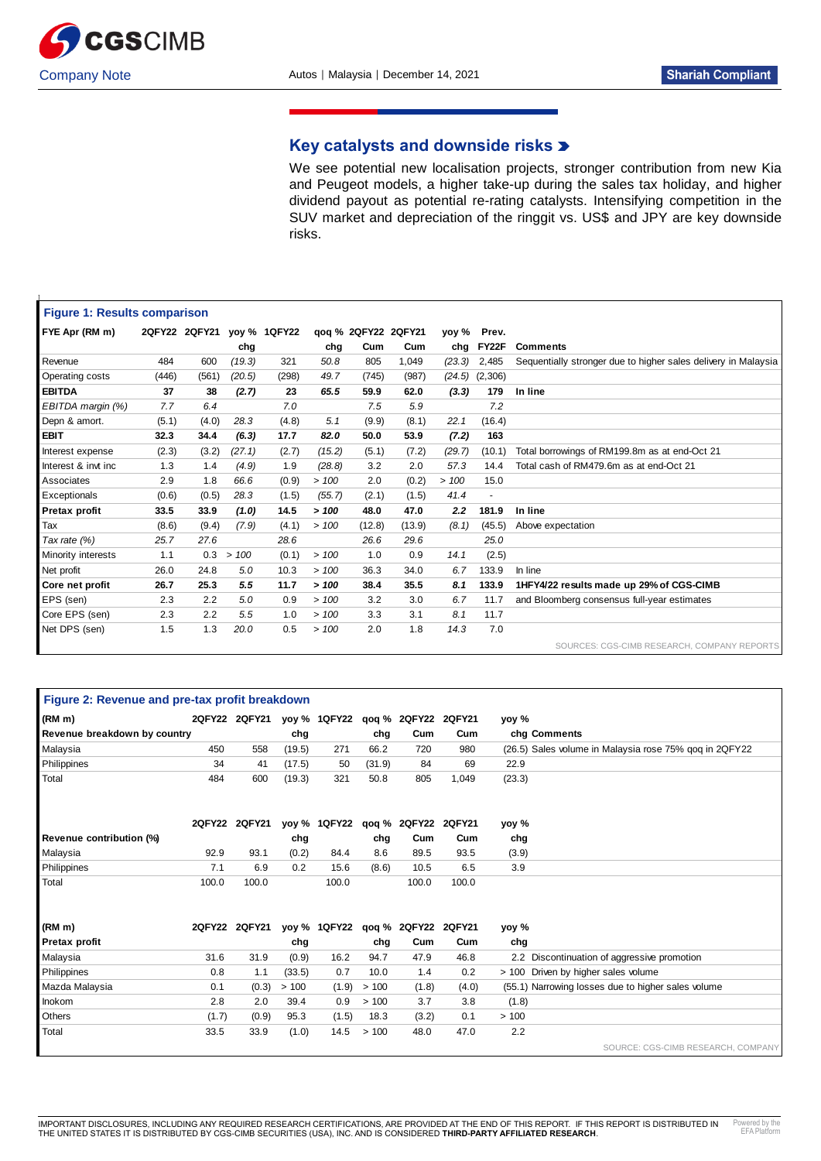

 $\overline{1}$ 

# **Key catalysts and downside risks**

We see potential new localisation projects, stronger contribution from new Kia and Peugeot models, a higher take-up during the sales tax holiday, and higher dividend payout as potential re-rating catalysts. Intensifying competition in the SUV market and depreciation of the ringgit vs. US\$ and JPY are key downside risks.

|                      | <b>Figure 1: Results comparison</b> |               |        |              |        |                     |        |               |                |                                                                |
|----------------------|-------------------------------------|---------------|--------|--------------|--------|---------------------|--------|---------------|----------------|----------------------------------------------------------------|
| FYE Apr (RM m)       |                                     | 2QFY22 2QFY21 |        | yoy % 1QFY22 |        | qoq % 2QFY22 2QFY21 |        | yoy %         | Prev.          |                                                                |
|                      |                                     |               | chg    |              | chg    | Cum                 | Cum    | chg           | FY22F          | <b>Comments</b>                                                |
| Revenue              | 484                                 | 600           | (19.3) | 321          | 50.8   | 805                 | 1,049  | (23.3)        | 2.485          | Sequentially stronger due to higher sales delivery in Malaysia |
| Operating costs      | (446)                               | (561)         | (20.5) | (298)        | 49.7   | (745)               | (987)  | (24.5)        | (2,306)        |                                                                |
| <b>EBITDA</b>        | 37                                  | 38            | (2.7)  | 23           | 65.5   | 59.9                | 62.0   | (3.3)         | 179            | In line                                                        |
| EBITDA margin (%)    | 7.7                                 | 6.4           |        | 7.0          |        | 7.5                 | 5.9    |               | 7.2            |                                                                |
| Depn & amort.        | (5.1)                               | (4.0)         | 28.3   | (4.8)        | 5.1    | (9.9)               | (8.1)  | 22.1          | (16.4)         |                                                                |
| <b>EBIT</b>          | 32.3                                | 34.4          | (6.3)  | 17.7         | 82.0   | 50.0                | 53.9   | (7.2)         | 163            |                                                                |
| Interest expense     | (2.3)                               | (3.2)         | (27.1) | (2.7)        | (15.2) | (5.1)               | (7.2)  | (29.7)        | (10.1)         | Total borrowings of RM199.8m as at end-Oct 21                  |
| Interest & invt inc  | 1.3                                 | 1.4           | (4.9)  | 1.9          | (28.8) | 3.2                 | 2.0    | 57.3          | 14.4           | Total cash of RM479.6m as at end-Oct 21                        |
| Associates           | 2.9                                 | 1.8           | 66.6   | (0.9)        | >100   | 2.0                 | (0.2)  | >100          | 15.0           |                                                                |
| Exceptionals         | (0.6)                               | (0.5)         | 28.3   | (1.5)        | (55.7) | (2.1)               | (1.5)  | 41.4          | $\blacksquare$ |                                                                |
| <b>Pretax profit</b> | 33.5                                | 33.9          | (1.0)  | 14.5         | >100   | 48.0                | 47.0   | $2.2^{\circ}$ | 181.9          | In line                                                        |
| Tax                  | (8.6)                               | (9.4)         | (7.9)  | (4.1)        | >100   | (12.8)              | (13.9) | (8.1)         | (45.5)         | Above expectation                                              |
| Tax rate $(%)$       | 25.7                                | 27.6          |        | 28.6         |        | 26.6                | 29.6   |               | 25.0           |                                                                |
| Minority interests   | 1.1                                 | 0.3           | >100   | (0.1)        | >100   | 1.0                 | 0.9    | 14.1          | (2.5)          |                                                                |
| Net profit           | 26.0                                | 24.8          | 5.0    | 10.3         | >100   | 36.3                | 34.0   | 6.7           | 133.9          | In line                                                        |
| Core net profit      | 26.7                                | 25.3          | 5.5    | 11.7         | >100   | 38.4                | 35.5   | 8.1           | 133.9          | 1HFY4/22 results made up 29% of CGS-CIMB                       |
| EPS (sen)            | 2.3                                 | 2.2           | 5.0    | 0.9          | >100   | 3.2                 | 3.0    | 6.7           | 11.7           | and Bloomberg consensus full-year estimates                    |
| Core EPS (sen)       | 2.3                                 | 2.2           | 5.5    | 1.0          | >100   | 3.3                 | 3.1    | 8.1           | 11.7           |                                                                |
| Net DPS (sen)        | 1.5                                 | 1.3           | 20.0   | 0.5          | >100   | 2.0                 | 1.8    | 14.3          | 7.0            |                                                                |
|                      |                                     |               |        |              |        |                     |        |               |                |                                                                |

| Figure 2: Revenue and pre-tax profit breakdown |       |                                              |        |                                  |        |                     |       |        |                                                        |
|------------------------------------------------|-------|----------------------------------------------|--------|----------------------------------|--------|---------------------|-------|--------|--------------------------------------------------------|
| (RM m)                                         |       | 2QFY22 2QFY21 yoy% 1QFY22 qoq% 2QFY22 2QFY21 |        |                                  |        |                     |       | yoy %  |                                                        |
| Revenue breakdown by country                   |       |                                              | chg    |                                  | chg    | Cum                 | Cum   |        | chg Comments                                           |
| Malaysia                                       | 450   | 558                                          | (19.5) | 271                              | 66.2   | 720                 | 980   |        | (26.5) Sales volume in Malaysia rose 75% gog in 2QFY22 |
| Philippines                                    | 34    | 41                                           | (17.5) | 50                               | (31.9) | 84                  | 69    | 22.9   |                                                        |
| Total                                          | 484   | 600                                          | (19.3) | 321                              | 50.8   | 805                 | 1,049 | (23.3) |                                                        |
|                                                |       | 2QFY22 2QFY21                                |        | yoy % 1QFY22                     |        | qoq % 2QFY22 2QFY21 |       | yoy %  |                                                        |
| Revenue contribution (%)                       |       |                                              | chg    |                                  | chg    | Cum                 | Cum   | chg    |                                                        |
| Malaysia                                       | 92.9  | 93.1                                         | (0.2)  | 84.4                             | 8.6    | 89.5                | 93.5  | (3.9)  |                                                        |
| Philippines                                    | 7.1   | 6.9                                          | 0.2    | 15.6                             | (8.6)  | 10.5                | 6.5   | 3.9    |                                                        |
| Total                                          | 100.0 | 100.0                                        |        | 100.0                            |        | 100.0               | 100.0 |        |                                                        |
| (RM <sub>m</sub> )                             |       | 2QFY22 2QFY21                                |        | yoy % 1QFY22 qoq % 2QFY22 2QFY21 |        |                     |       | yoy %  |                                                        |
| Pretax profit                                  |       |                                              | chg    |                                  | chg    | Cum                 | Cum   | chg    |                                                        |
| Malaysia                                       | 31.6  | 31.9                                         | (0.9)  | 16.2                             | 94.7   | 47.9                | 46.8  |        | 2.2 Discontinuation of aggressive promotion            |
| Philippines                                    | 0.8   | 1.1                                          | (33.5) | 0.7                              | 10.0   | 1.4                 | 0.2   |        | > 100 Driven by higher sales volume                    |
| Mazda Malaysia                                 | 0.1   | (0.3)                                        | >100   | (1.9)                            | > 100  | (1.8)               | (4.0) |        | (55.1) Narrowing losses due to higher sales volume     |
| Inokom                                         | 2.8   | 2.0                                          | 39.4   | 0.9                              | >100   | 3.7                 | 3.8   | (1.8)  |                                                        |
| <b>Others</b>                                  | (1.7) | (0.9)                                        | 95.3   | (1.5)                            | 18.3   | (3.2)               | 0.1   | >100   |                                                        |
| Total                                          | 33.5  | 33.9                                         | (1.0)  | 14.5                             | >100   | 48.0                | 47.0  | 2.2    |                                                        |
|                                                |       |                                              |        |                                  |        |                     |       |        | SOURCE: CGS-CIMB RESEARCH, COMPANY                     |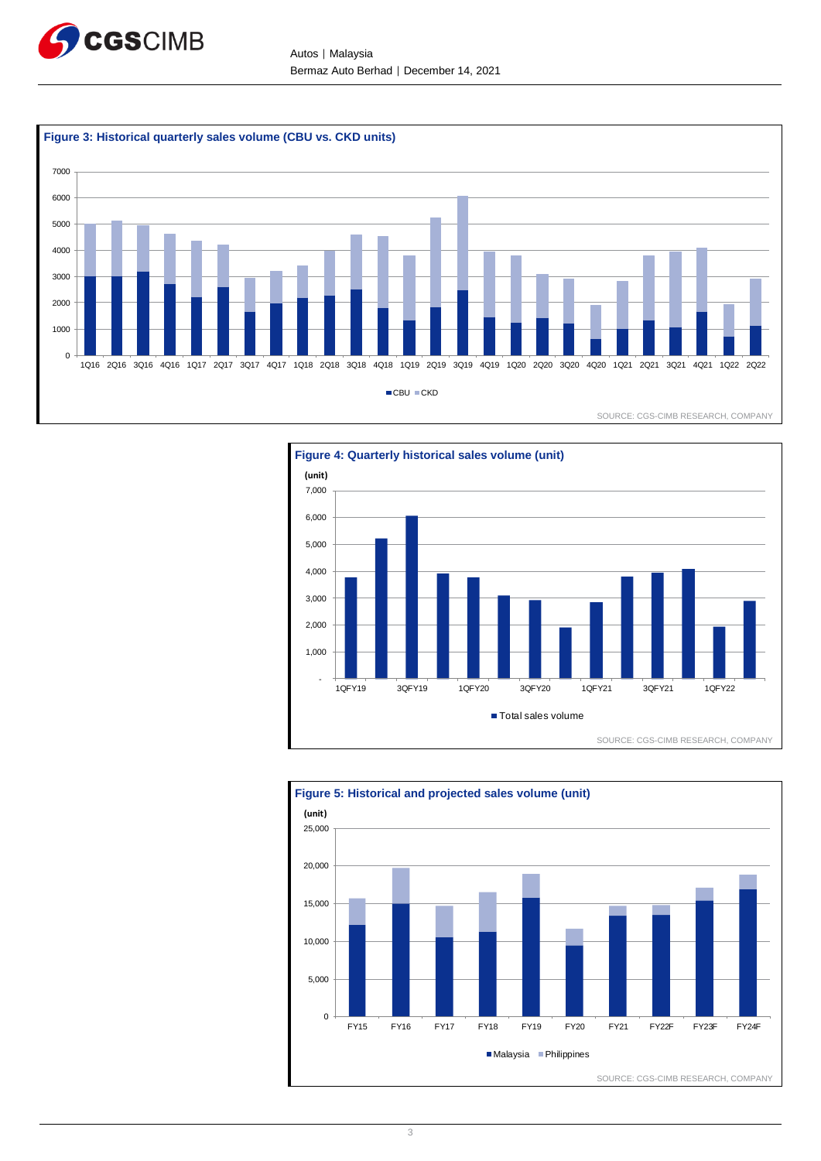

Autos │ Malaysia Bermaz Auto Berhad │ December 14, 2021





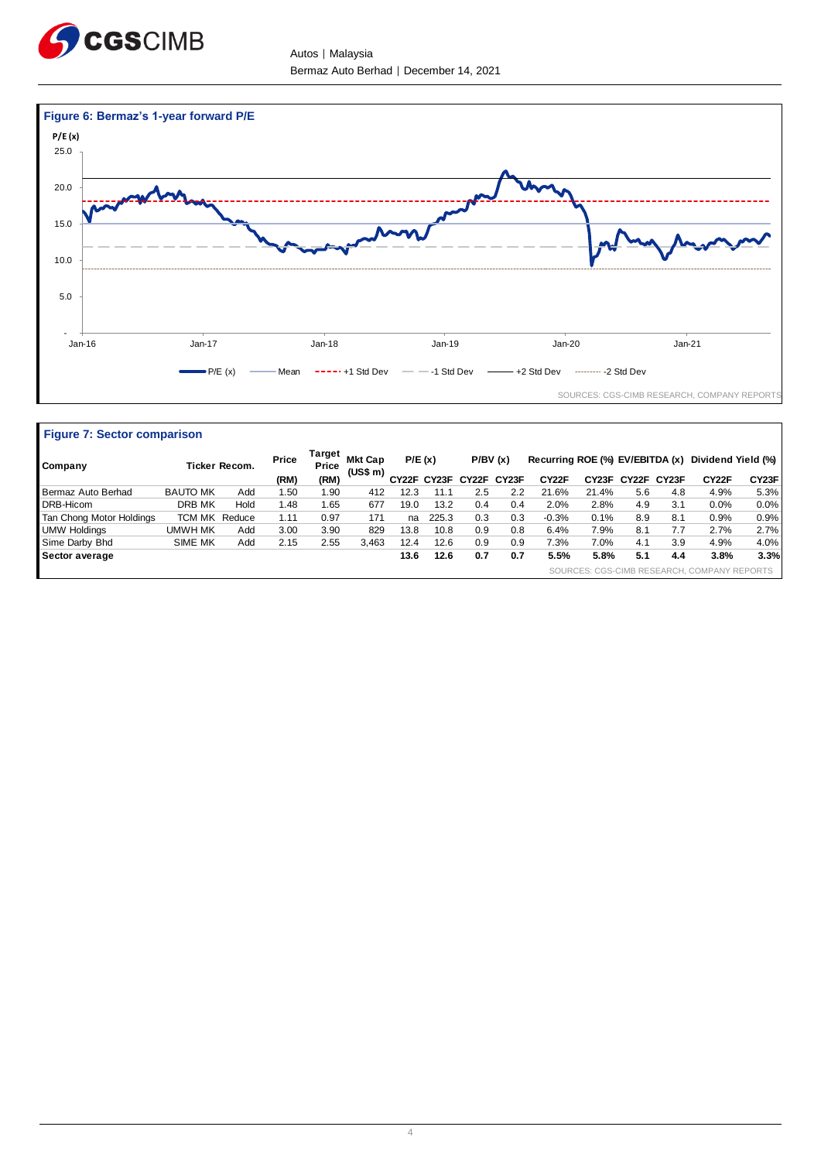

**Figure 7: Sector comparison** 

Autos │ Malaysia Bermaz Auto Berhad | December 14, 2021



| Company                  |                 | Ticker Recom. | Price | Target<br>Price | <b>Mkt Cap</b><br>(US\$ m) | P/E(x) |             |             | P/BV(x) | Recurring ROE (%) EV/EBITDA (x) |                    |       |       | Dividend Yield (%)                          |         |
|--------------------------|-----------------|---------------|-------|-----------------|----------------------------|--------|-------------|-------------|---------|---------------------------------|--------------------|-------|-------|---------------------------------------------|---------|
|                          |                 |               | (RM)  | (RM)            |                            |        | CY22F CY23F | CY22F CY23F |         | CY22F                           | CY <sub>23</sub> F | CY22F | CY23F | CY <sub>22</sub> F                          | CY23F   |
| Bermaz Auto Berhad       | <b>BAUTO MK</b> | Add           | l.50  | 1.90            | 412                        | 12.3   | 11.         | 2.5         | 2.2     | 21.6%                           | 21.4%              | 5.6   | 4.8   | 4.9%                                        | 5.3%    |
| DRB-Hicom                | DRB MK          | Hold          | .48   | 1.65            | 677                        | 19.0   | 13.2        | 0.4         | 0.4     | 2.0%                            | 2.8%               | 4.9   | 3.1   | 0.0%                                        | $0.0\%$ |
| Tan Chong Motor Holdings | TCM MK          | Reduce        | 1.11  | 0.97            | 171                        | na     | 225.3       | 0.3         | 0.3     | $-0.3%$                         | 0.1%               | 8.9   | 8.1   | 0.9%                                        | 0.9%    |
| <b>UMW Holdings</b>      | UMWH MK         | Add           | 3.00  | 3.90            | 829                        | 13.8   | 10.8        | 0.9         | 0.8     | 6.4%                            | 7.9%               | 8.1   | 7.7   | 2.7%                                        | 2.7%    |
| Sime Darby Bhd           | <b>SIME MK</b>  | Add           | 2.15  | 2.55            | 3.463                      | 12.4   | 12.6        | 0.9         | 0.9     | 7.3%                            | 7.0%               | 4.1   | 3.9   | 4.9%                                        | 4.0%    |
| Sector average           |                 |               |       |                 |                            | 13.6   | 12.6        | 0.7         | 0.7     | 5.5%                            | 5.8%               | 5.1   | 4.4   | 3.8%                                        | 3.3%    |
|                          |                 |               |       |                 |                            |        |             |             |         |                                 |                    |       |       | SOURCES: CGS-CIMB RESEARCH, COMPANY REPORTS |         |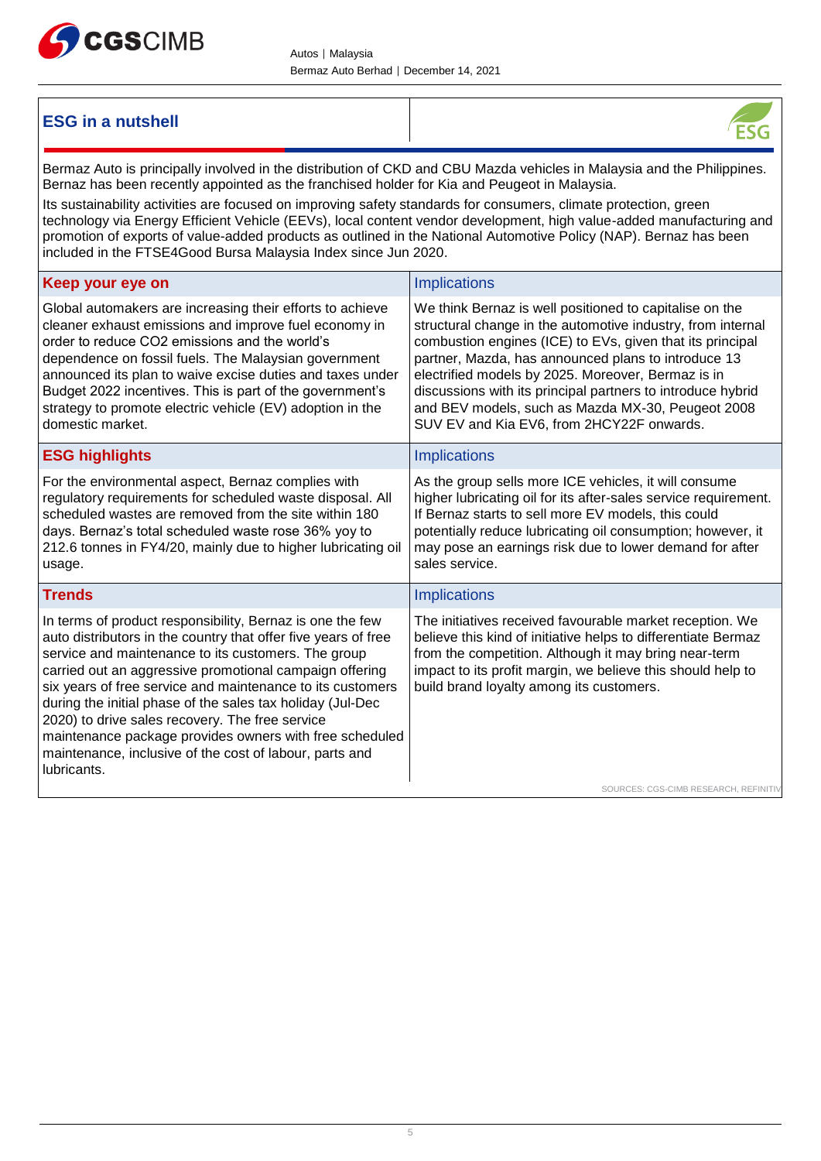

# **ESG in a nutshell**



Bermaz Auto is principally involved in the distribution of CKD and CBU Mazda vehicles in Malaysia and the Philippines. Bernaz has been recently appointed as the franchised holder for Kia and Peugeot in Malaysia. Its sustainability activities are focused on improving safety standards for consumers, climate protection, green technology via Energy Efficient Vehicle (EEVs), local content vendor development, high value-added manufacturing and promotion of exports of value-added products as outlined in the National Automotive Policy (NAP). Bernaz has been included in the FTSE4Good Bursa Malaysia Index since Jun 2020. **Keep your eye on IMPLICATE SERVICES IMPLICATE:** Implications Global automakers are increasing their efforts to achieve cleaner exhaust emissions and improve fuel economy in order to reduce CO2 emissions and the world's dependence on fossil fuels. The Malaysian government announced its plan to waive excise duties and taxes under Budget 2022 incentives. This is part of the government's strategy to promote electric vehicle (EV) adoption in the domestic market. We think Bernaz is well positioned to capitalise on the structural change in the automotive industry, from internal combustion engines (ICE) to EVs, given that its principal partner, Mazda, has announced plans to introduce 13 electrified models by 2025. Moreover, Bermaz is in discussions with its principal partners to introduce hybrid and BEV models, such as Mazda MX-30, Peugeot 2008 SUV EV and Kia EV6, from 2HCY22F onwards. **ESG highlights Implications** For the environmental aspect, Bernaz complies with regulatory requirements for scheduled waste disposal. All scheduled wastes are removed from the site within 180 days. Bernaz's total scheduled waste rose 36% yoy to 212.6 tonnes in FY4/20, mainly due to higher lubricating oil usage. As the group sells more ICE vehicles, it will consume higher lubricating oil for its after-sales service requirement. If Bernaz starts to sell more EV models, this could potentially reduce lubricating oil consumption; however, it may pose an earnings risk due to lower demand for after sales service. **Trends** Implications **Implications** In terms of product responsibility, Bernaz is one the few auto distributors in the country that offer five years of free service and maintenance to its customers. The group carried out an aggressive promotional campaign offering six years of free service and maintenance to its customers during the initial phase of the sales tax holiday (Jul-Dec 2020) to drive sales recovery. The free service maintenance package provides owners with free scheduled maintenance, inclusive of the cost of labour, parts and lubricants. The initiatives received favourable market reception. We believe this kind of initiative helps to differentiate Bermaz from the competition. Although it may bring near-term impact to its profit margin, we believe this should help to build brand loyalty among its customers.

SOURCES: CGS-CIMB RESEARCH, REFINIT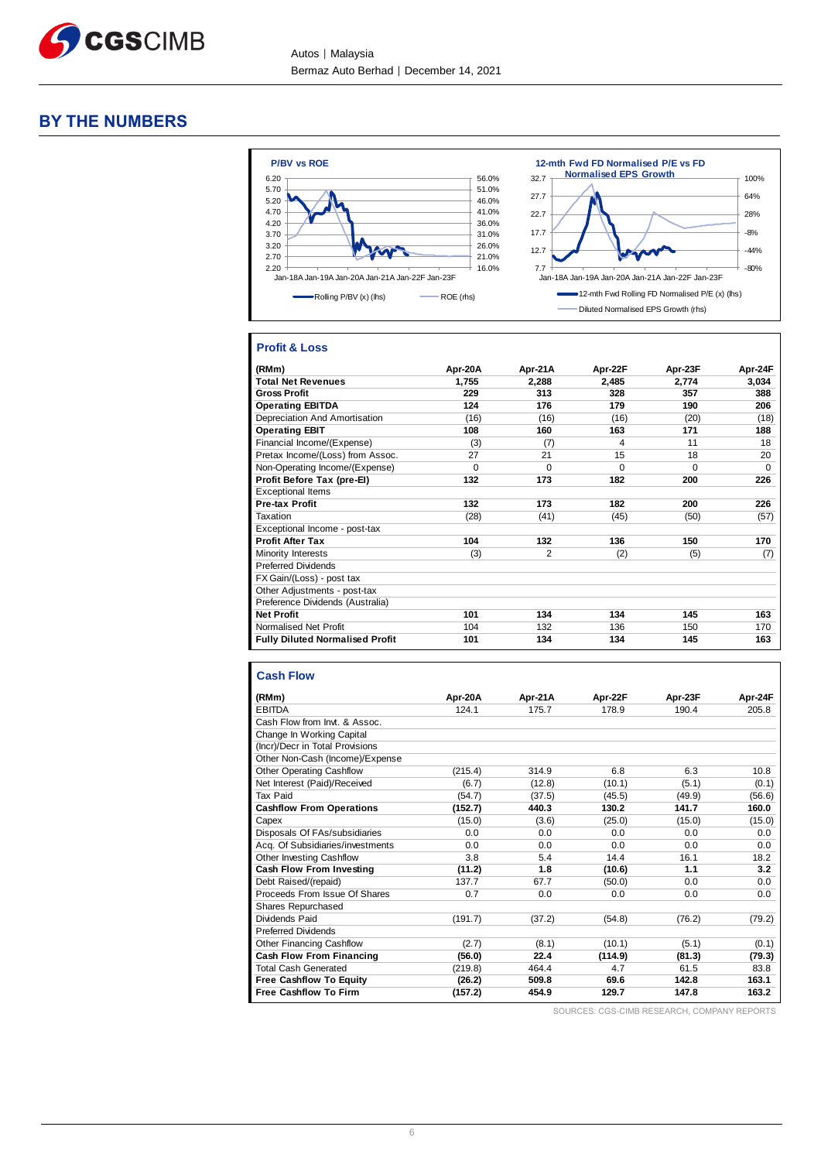

# **BY THE NUMBERS**



#### **Profit & Loss**

| (RMm)                                  | Apr-20A | Apr-21A        | Apr-22F  | Apr-23F  | Apr-24F  |
|----------------------------------------|---------|----------------|----------|----------|----------|
| <b>Total Net Revenues</b>              | 1,755   | 2,288          | 2,485    | 2,774    | 3,034    |
| <b>Gross Profit</b>                    | 229     | 313            | 328      | 357      | 388      |
| <b>Operating EBITDA</b>                | 124     | 176            | 179      | 190      | 206      |
| Depreciation And Amortisation          | (16)    | (16)           | (16)     | (20)     | (18)     |
| <b>Operating EBIT</b>                  | 108     | 160            | 163      | 171      | 188      |
| Financial Income/(Expense)             | (3)     | (7)            | 4        | 11       | 18       |
| Pretax Income/(Loss) from Assoc.       | 27      | 21             | 15       | 18       | 20       |
| Non-Operating Income/(Expense)         | 0       | $\Omega$       | $\Omega$ | $\Omega$ | $\Omega$ |
| Profit Before Tax (pre-EI)             | 132     | 173            | 182      | 200      | 226      |
| <b>Exceptional Items</b>               |         |                |          |          |          |
| <b>Pre-tax Profit</b>                  | 132     | 173            | 182      | 200      | 226      |
| Taxation                               | (28)    | (41)           | (45)     | (50)     | (57)     |
| Exceptional Income - post-tax          |         |                |          |          |          |
| <b>Profit After Tax</b>                | 104     | 132            | 136      | 150      | 170      |
| Minority Interests                     | (3)     | $\overline{2}$ | (2)      | (5)      | (7)      |
| <b>Preferred Dividends</b>             |         |                |          |          |          |
| FX Gain/(Loss) - post tax              |         |                |          |          |          |
| Other Adjustments - post-tax           |         |                |          |          |          |
| Preference Dividends (Australia)       |         |                |          |          |          |
| <b>Net Profit</b>                      | 101     | 134            | 134      | 145      | 163      |
| Normalised Net Profit                  | 104     | 132            | 136      | 150      | 170      |
| <b>Fully Diluted Normalised Profit</b> | 101     | 134            | 134      | 145      | 163      |

# **Cash Flow**

| (RMm)                            | Apr-20A | Apr-21A | Apr-22F | Apr-23F | Apr-24F |
|----------------------------------|---------|---------|---------|---------|---------|
| <b>EBITDA</b>                    | 124.1   | 175.7   | 178.9   | 190.4   | 205.8   |
| Cash Flow from Invt. & Assoc.    |         |         |         |         |         |
| Change In Working Capital        |         |         |         |         |         |
| (Incr)/Decr in Total Provisions  |         |         |         |         |         |
| Other Non-Cash (Income)/Expense  |         |         |         |         |         |
| <b>Other Operating Cashflow</b>  | (215.4) | 314.9   | 6.8     | 6.3     | 10.8    |
| Net Interest (Paid)/Received     | (6.7)   | (12.8)  | (10.1)  | (5.1)   | (0.1)   |
| <b>Tax Paid</b>                  | (54.7)  | (37.5)  | (45.5)  | (49.9)  | (56.6)  |
| <b>Cashflow From Operations</b>  | (152.7) | 440.3   | 130.2   | 141.7   | 160.0   |
| Capex                            | (15.0)  | (3.6)   | (25.0)  | (15.0)  | (15.0)  |
| Disposals Of FAs/subsidiaries    | 0.0     | 0.0     | 0.0     | 0.0     | 0.0     |
| Acq. Of Subsidiaries/investments | 0.0     | 0.0     | 0.0     | 0.0     | 0.0     |
| Other Investing Cashflow         | 3.8     | 5.4     | 14.4    | 16.1    | 18.2    |
| Cash Flow From Investing         | (11.2)  | 1.8     | (10.6)  | 1.1     | 3.2     |
| Debt Raised/(repaid)             | 137.7   | 67.7    | (50.0)  | 0.0     | 0.0     |
| Proceeds From Issue Of Shares    | 0.7     | 0.0     | 0.0     | 0.0     | 0.0     |
| Shares Repurchased               |         |         |         |         |         |
| Dividends Paid                   | (191.7) | (37.2)  | (54.8)  | (76.2)  | (79.2)  |
| <b>Preferred Dividends</b>       |         |         |         |         |         |
| <b>Other Financing Cashflow</b>  | (2.7)   | (8.1)   | (10.1)  | (5.1)   | (0.1)   |
| <b>Cash Flow From Financing</b>  | (56.0)  | 22.4    | (114.9) | (81.3)  | (79.3)  |
| <b>Total Cash Generated</b>      | (219.8) | 464.4   | 4.7     | 61.5    | 83.8    |
| <b>Free Cashflow To Equity</b>   | (26.2)  | 509.8   | 69.6    | 142.8   | 163.1   |
| <b>Free Cashflow To Firm</b>     | (157.2) | 454.9   | 129.7   | 147.8   | 163.2   |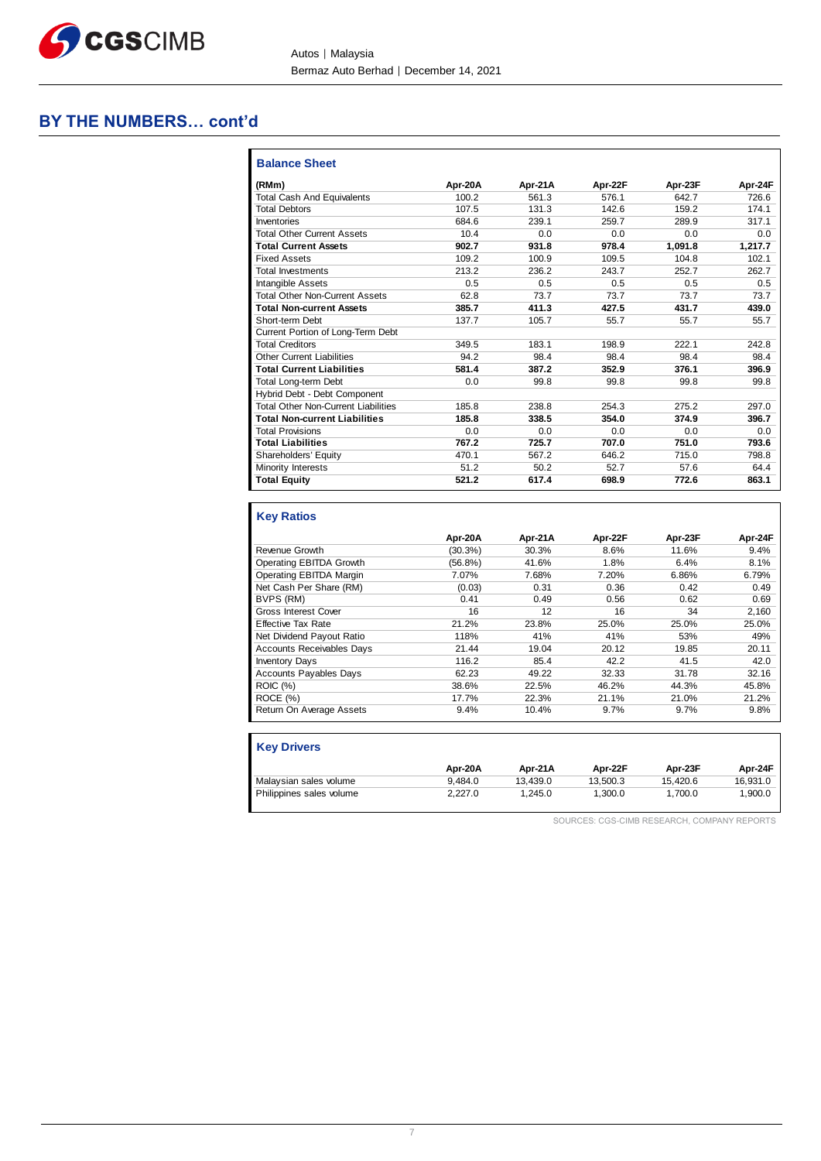

# **BY THE NUMBERS… cont'd**

| <b>Balance Sheet</b>                       |         |         |         |         |         |
|--------------------------------------------|---------|---------|---------|---------|---------|
| (RMm)                                      | Apr-20A | Apr-21A | Apr-22F | Apr-23F | Apr-24F |
| <b>Total Cash And Equivalents</b>          | 100.2   | 561.3   | 576.1   | 642.7   | 726.6   |
| <b>Total Debtors</b>                       | 107.5   | 131.3   | 142.6   | 159.2   | 174.1   |
| Inventories                                | 684.6   | 239.1   | 259.7   | 289.9   | 317.1   |
| <b>Total Other Current Assets</b>          | 10.4    | 0.0     | 0.0     | 0.0     | 0.0     |
| <b>Total Current Assets</b>                | 902.7   | 931.8   | 978.4   | 1,091.8 | 1,217.7 |
| <b>Fixed Assets</b>                        | 109.2   | 100.9   | 109.5   | 104.8   | 102.1   |
| <b>Total Investments</b>                   | 213.2   | 236.2   | 243.7   | 252.7   | 262.7   |
| <b>Intangible Assets</b>                   | 0.5     | 0.5     | 0.5     | 0.5     | 0.5     |
| <b>Total Other Non-Current Assets</b>      | 62.8    | 73.7    | 73.7    | 73.7    | 73.7    |
| <b>Total Non-current Assets</b>            | 385.7   | 411.3   | 427.5   | 431.7   | 439.0   |
| Short-term Debt                            | 137.7   | 105.7   | 55.7    | 55.7    | 55.7    |
| Current Portion of Long-Term Debt          |         |         |         |         |         |
| <b>Total Creditors</b>                     | 349.5   | 183.1   | 198.9   | 222.1   | 242.8   |
| <b>Other Current Liabilities</b>           | 94.2    | 98.4    | 98.4    | 98.4    | 98.4    |
| <b>Total Current Liabilities</b>           | 581.4   | 387.2   | 352.9   | 376.1   | 396.9   |
| <b>Total Long-term Debt</b>                | 0.0     | 99.8    | 99.8    | 99.8    | 99.8    |
| Hybrid Debt - Debt Component               |         |         |         |         |         |
| <b>Total Other Non-Current Liabilities</b> | 185.8   | 238.8   | 254.3   | 275.2   | 297.0   |
| <b>Total Non-current Liabilities</b>       | 185.8   | 338.5   | 354.0   | 374.9   | 396.7   |
| <b>Total Provisions</b>                    | 0.0     | 0.0     | 0.0     | 0.0     | 0.0     |
| <b>Total Liabilities</b>                   | 767.2   | 725.7   | 707.0   | 751.0   | 793.6   |
| Shareholders' Equity                       | 470.1   | 567.2   | 646.2   | 715.0   | 798.8   |
| Minority Interests                         | 51.2    | 50.2    | 52.7    | 57.6    | 64.4    |
| <b>Total Equity</b>                        | 521.2   | 617.4   | 698.9   | 772.6   | 863.1   |

# **Key Ratios**

|                                  | Apr-20A    | Apr-21A | Apr-22F | Apr-23F | Apr-24F |
|----------------------------------|------------|---------|---------|---------|---------|
| Revenue Growth                   | $(30.3\%)$ | 30.3%   | 8.6%    | 11.6%   | 9.4%    |
| Operating EBITDA Growth          | $(56.8\%)$ | 41.6%   | 1.8%    | 6.4%    | 8.1%    |
| Operating EBITDA Margin          | 7.07%      | 7.68%   | 7.20%   | 6.86%   | 6.79%   |
| Net Cash Per Share (RM)          | (0.03)     | 0.31    | 0.36    | 0.42    | 0.49    |
| BVPS (RM)                        | 0.41       | 0.49    | 0.56    | 0.62    | 0.69    |
| Gross Interest Cover             | 16         | 12      | 16      | 34      | 2,160   |
| <b>Effective Tax Rate</b>        | 21.2%      | 23.8%   | 25.0%   | 25.0%   | 25.0%   |
| Net Dividend Payout Ratio        | 118%       | 41%     | 41%     | 53%     | 49%     |
| <b>Accounts Receivables Davs</b> | 21.44      | 19.04   | 20.12   | 19.85   | 20.11   |
| <b>Inventory Days</b>            | 116.2      | 85.4    | 42.2    | 41.5    | 42.0    |
| <b>Accounts Payables Days</b>    | 62.23      | 49.22   | 32.33   | 31.78   | 32.16   |
| <b>ROIC (%)</b>                  | 38.6%      | 22.5%   | 46.2%   | 44.3%   | 45.8%   |
| ROCE(%)                          | 17.7%      | 22.3%   | 21.1%   | 21.0%   | 21.2%   |
| Return On Average Assets         | 9.4%       | 10.4%   | 9.7%    | 9.7%    | 9.8%    |

| <b>Key Drivers</b>       |         |          |          |          |          |
|--------------------------|---------|----------|----------|----------|----------|
|                          | Apr-20A | Apr-21A  | Apr-22F  | Apr-23F  | Apr-24F  |
| Malaysian sales volume   | 9.484.0 | 13.439.0 | 13.500.3 | 15.420.6 | 16.931.0 |
| Philippines sales volume | 2.227.0 | 1.245.0  | 1.300.0  | 1.700.0  | 1.900.0  |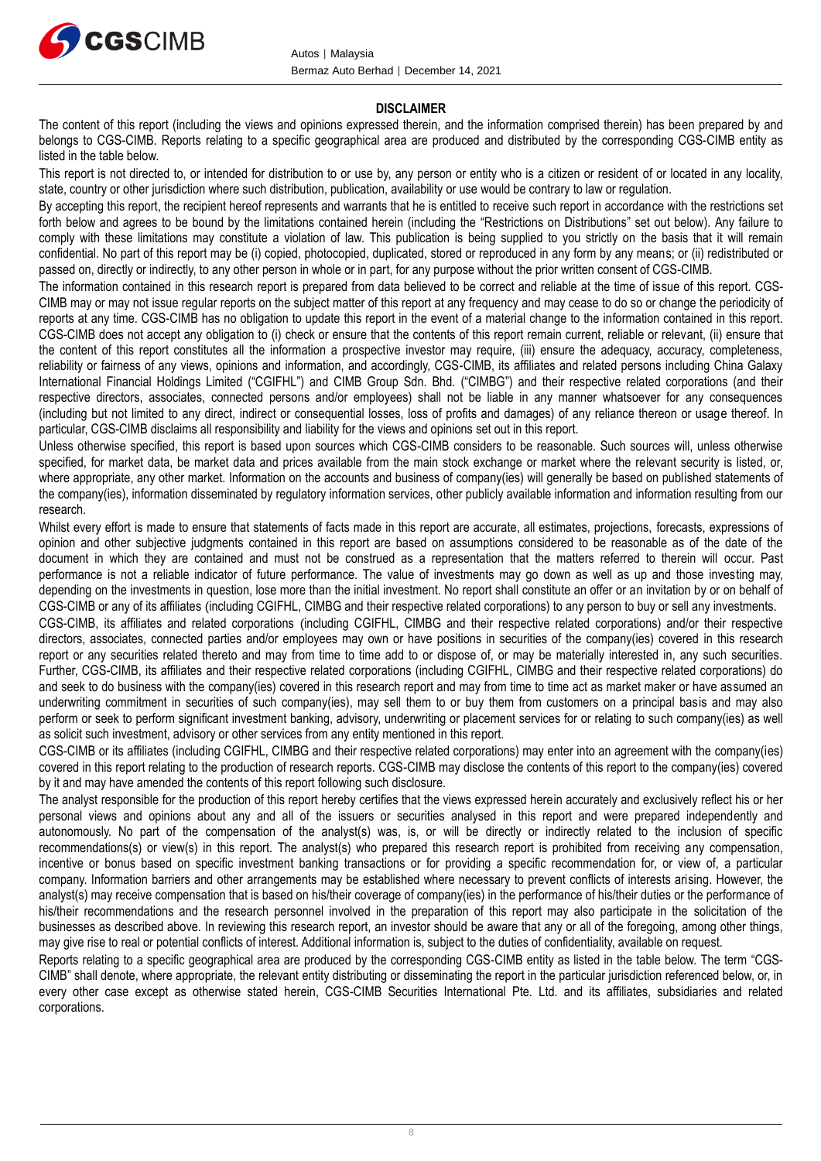

#### **DISCLAIMER**

The content of this report (including the views and opinions expressed therein, and the information comprised therein) has been prepared by and belongs to CGS-CIMB. Reports relating to a specific geographical area are produced and distributed by the corresponding CGS-CIMB entity as listed in the table below.

This report is not directed to, or intended for distribution to or use by, any person or entity who is a citizen or resident of or located in any locality, state, country or other jurisdiction where such distribution, publication, availability or use would be contrary to law or regulation.

By accepting this report, the recipient hereof represents and warrants that he is entitled to receive such report in accordance with the restrictions set forth below and agrees to be bound by the limitations contained herein (including the "Restrictions on Distributions" set out below). Any failure to comply with these limitations may constitute a violation of law. This publication is being supplied to you strictly on the basis that it will remain confidential. No part of this report may be (i) copied, photocopied, duplicated, stored or reproduced in any form by any means; or (ii) redistributed or passed on, directly or indirectly, to any other person in whole or in part, for any purpose without the prior written consent of CGS-CIMB.

The information contained in this research report is prepared from data believed to be correct and reliable at the time of issue of this report. CGS-CIMB may or may not issue regular reports on the subject matter of this report at any frequency and may cease to do so or change the periodicity of reports at any time. CGS-CIMB has no obligation to update this report in the event of a material change to the information contained in this report. CGS-CIMB does not accept any obligation to (i) check or ensure that the contents of this report remain current, reliable or relevant, (ii) ensure that the content of this report constitutes all the information a prospective investor may require, (iii) ensure the adequacy, accuracy, completeness, reliability or fairness of any views, opinions and information, and accordingly, CGS-CIMB, its affiliates and related persons including China Galaxy International Financial Holdings Limited ("CGIFHL") and CIMB Group Sdn. Bhd. ("CIMBG") and their respective related corporations (and their respective directors, associates, connected persons and/or employees) shall not be liable in any manner whatsoever for any consequences (including but not limited to any direct, indirect or consequential losses, loss of profits and damages) of any reliance thereon or usage thereof. In particular, CGS-CIMB disclaims all responsibility and liability for the views and opinions set out in this report.

Unless otherwise specified, this report is based upon sources which CGS-CIMB considers to be reasonable. Such sources will, unless otherwise specified, for market data, be market data and prices available from the main stock exchange or market where the relevant security is listed, or, where appropriate, any other market. Information on the accounts and business of company(ies) will generally be based on published statements of the company(ies), information disseminated by regulatory information services, other publicly available information and information resulting from our research.

Whilst every effort is made to ensure that statements of facts made in this report are accurate, all estimates, projections, forecasts, expressions of opinion and other subjective judgments contained in this report are based on assumptions considered to be reasonable as of the date of the document in which they are contained and must not be construed as a representation that the matters referred to therein will occur. Past performance is not a reliable indicator of future performance. The value of investments may go down as well as up and those investing may, depending on the investments in question, lose more than the initial investment. No report shall constitute an offer or an invitation by or on behalf of CGS-CIMB or any of its affiliates (including CGIFHL, CIMBG and their respective related corporations) to any person to buy or sell any investments.

CGS-CIMB, its affiliates and related corporations (including CGIFHL, CIMBG and their respective related corporations) and/or their respective directors, associates, connected parties and/or employees may own or have positions in securities of the company(ies) covered in this research report or any securities related thereto and may from time to time add to or dispose of, or may be materially interested in, any such securities. Further, CGS-CIMB, its affiliates and their respective related corporations (including CGIFHL, CIMBG and their respective related corporations) do and seek to do business with the company(ies) covered in this research report and may from time to time act as market maker or have assumed an underwriting commitment in securities of such company(ies), may sell them to or buy them from customers on a principal basis and may also perform or seek to perform significant investment banking, advisory, underwriting or placement services for or relating to such company(ies) as well as solicit such investment, advisory or other services from any entity mentioned in this report.

CGS-CIMB or its affiliates (including CGIFHL, CIMBG and their respective related corporations) may enter into an agreement with the company(ies) covered in this report relating to the production of research reports. CGS-CIMB may disclose the contents of this report to the company(ies) covered by it and may have amended the contents of this report following such disclosure.

The analyst responsible for the production of this report hereby certifies that the views expressed herein accurately and exclusively reflect his or her personal views and opinions about any and all of the issuers or securities analysed in this report and were prepared independently and autonomously. No part of the compensation of the analyst(s) was, is, or will be directly or indirectly related to the inclusion of specific recommendations(s) or view(s) in this report. The analyst(s) who prepared this research report is prohibited from receiving any compensation, incentive or bonus based on specific investment banking transactions or for providing a specific recommendation for, or view of, a particular company. Information barriers and other arrangements may be established where necessary to prevent conflicts of interests arising. However, the analyst(s) may receive compensation that is based on his/their coverage of company(ies) in the performance of his/their duties or the performance of his/their recommendations and the research personnel involved in the preparation of this report may also participate in the solicitation of the businesses as described above. In reviewing this research report, an investor should be aware that any or all of the foregoing, among other things, may give rise to real or potential conflicts of interest. Additional information is, subject to the duties of confidentiality, available on request.

Reports relating to a specific geographical area are produced by the corresponding CGS-CIMB entity as listed in the table below. The term "CGS-CIMB" shall denote, where appropriate, the relevant entity distributing or disseminating the report in the particular jurisdiction referenced below, or, in every other case except as otherwise stated herein, CGS-CIMB Securities International Pte. Ltd. and its affiliates, subsidiaries and related corporations.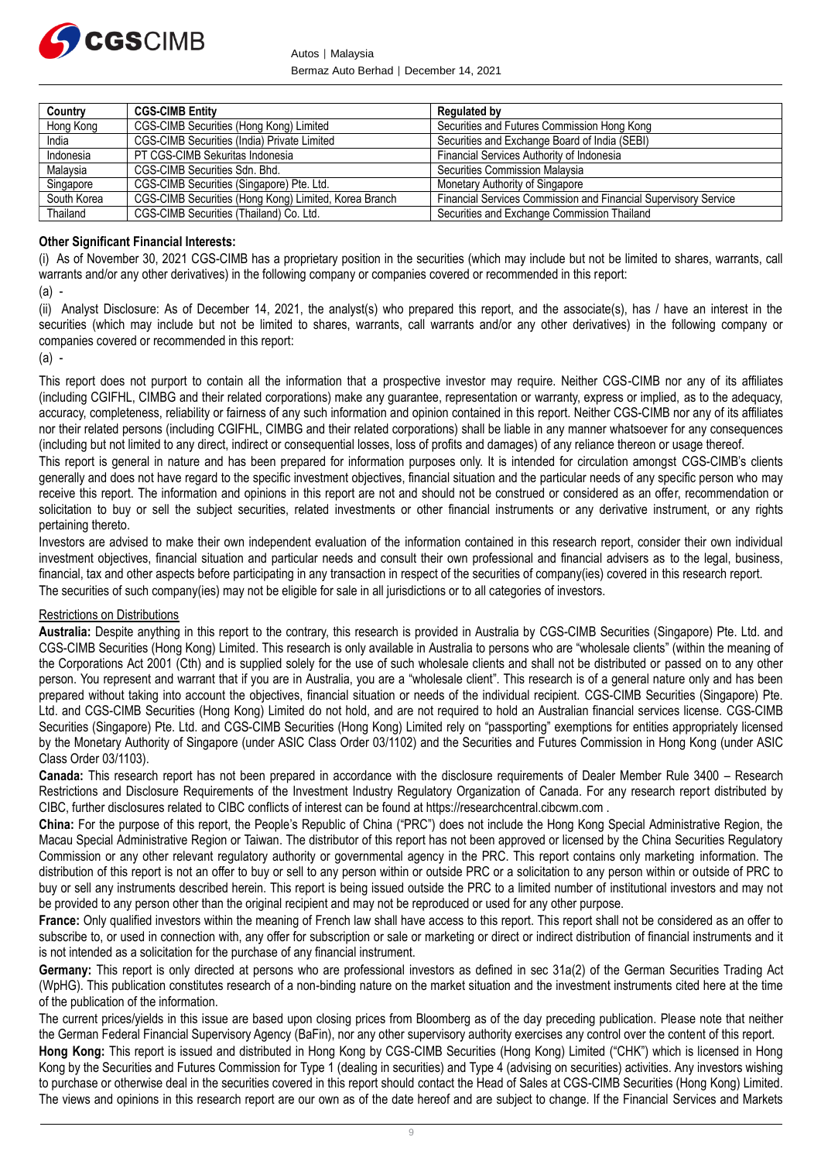

Autos │ Malaysia Bermaz Auto Berhad │ December 14, 2021

| Country     | <b>CGS-CIMB Entity</b>                                | Regulated by                                                           |
|-------------|-------------------------------------------------------|------------------------------------------------------------------------|
| Hong Kong   | CGS-CIMB Securities (Hong Kong) Limited               | Securities and Futures Commission Hong Kong                            |
| India       | CGS-CIMB Securities (India) Private Limited           | Securities and Exchange Board of India (SEBI)                          |
| Indonesia   | PT CGS-CIMB Sekuritas Indonesia                       | Financial Services Authority of Indonesia                              |
| Malaysia    | CGS-CIMB Securities Sdn. Bhd.                         | Securities Commission Malaysia                                         |
| Singapore   | CGS-CIMB Securities (Singapore) Pte. Ltd.             | Monetary Authority of Singapore                                        |
| South Korea | CGS-CIMB Securities (Hong Kong) Limited, Korea Branch | <b>Financial Services Commission and Financial Supervisory Service</b> |
| Thailand    | CGS-CIMB Securities (Thailand) Co. Ltd.               | Securities and Exchange Commission Thailand                            |

## **Other Significant Financial Interests:**

(i) As of November 30, 2021 CGS-CIMB has a proprietary position in the securities (which may include but not be limited to shares, warrants, call warrants and/or any other derivatives) in the following company or companies covered or recommended in this report:

(a) -

(ii) Analyst Disclosure: As of December 14, 2021, the analyst(s) who prepared this report, and the associate(s), has / have an interest in the securities (which may include but not be limited to shares, warrants, call warrants and/or any other derivatives) in the following company or companies covered or recommended in this report:

(a) -

This report does not purport to contain all the information that a prospective investor may require. Neither CGS-CIMB nor any of its affiliates (including CGIFHL, CIMBG and their related corporations) make any guarantee, representation or warranty, express or implied, as to the adequacy, accuracy, completeness, reliability or fairness of any such information and opinion contained in this report. Neither CGS-CIMB nor any of its affiliates nor their related persons (including CGIFHL, CIMBG and their related corporations) shall be liable in any manner whatsoever for any consequences (including but not limited to any direct, indirect or consequential losses, loss of profits and damages) of any reliance thereon or usage thereof.

This report is general in nature and has been prepared for information purposes only. It is intended for circulation amongst CGS-CIMB's clients generally and does not have regard to the specific investment objectives, financial situation and the particular needs of any specific person who may receive this report. The information and opinions in this report are not and should not be construed or considered as an offer, recommendation or solicitation to buy or sell the subject securities, related investments or other financial instruments or any derivative instrument, or any rights pertaining thereto.

Investors are advised to make their own independent evaluation of the information contained in this research report, consider their own individual investment objectives, financial situation and particular needs and consult their own professional and financial advisers as to the legal, business, financial, tax and other aspects before participating in any transaction in respect of the securities of company(ies) covered in this research report. The securities of such company(ies) may not be eligible for sale in all jurisdictions or to all categories of investors.

# Restrictions on Distributions

**Australia:** Despite anything in this report to the contrary, this research is provided in Australia by CGS-CIMB Securities (Singapore) Pte. Ltd. and CGS-CIMB Securities (Hong Kong) Limited. This research is only available in Australia to persons who are "wholesale clients" (within the meaning of the Corporations Act 2001 (Cth) and is supplied solely for the use of such wholesale clients and shall not be distributed or passed on to any other person. You represent and warrant that if you are in Australia, you are a "wholesale client". This research is of a general nature only and has been prepared without taking into account the objectives, financial situation or needs of the individual recipient. CGS-CIMB Securities (Singapore) Pte. Ltd. and CGS-CIMB Securities (Hong Kong) Limited do not hold, and are not required to hold an Australian financial services license. CGS-CIMB Securities (Singapore) Pte. Ltd. and CGS-CIMB Securities (Hong Kong) Limited rely on "passporting" exemptions for entities appropriately licensed by the Monetary Authority of Singapore (under ASIC Class Order 03/1102) and the Securities and Futures Commission in Hong Kong (under ASIC Class Order 03/1103).

**Canada:** This research report has not been prepared in accordance with the disclosure requirements of Dealer Member Rule 3400 – Research Restrictions and Disclosure Requirements of the Investment Industry Regulatory Organization of Canada. For any research report distributed by CIBC, further disclosures related to CIBC conflicts of interest can be found at https://researchcentral.cibcwm.com .

**China:** For the purpose of this report, the People's Republic of China ("PRC") does not include the Hong Kong Special Administrative Region, the Macau Special Administrative Region or Taiwan. The distributor of this report has not been approved or licensed by the China Securities Regulatory Commission or any other relevant regulatory authority or governmental agency in the PRC. This report contains only marketing information. The distribution of this report is not an offer to buy or sell to any person within or outside PRC or a solicitation to any person within or outside of PRC to buy or sell any instruments described herein. This report is being issued outside the PRC to a limited number of institutional investors and may not be provided to any person other than the original recipient and may not be reproduced or used for any other purpose.

**France:** Only qualified investors within the meaning of French law shall have access to this report. This report shall not be considered as an offer to subscribe to, or used in connection with, any offer for subscription or sale or marketing or direct or indirect distribution of financial instruments and it is not intended as a solicitation for the purchase of any financial instrument.

**Germany:** This report is only directed at persons who are professional investors as defined in sec 31a(2) of the German Securities Trading Act (WpHG). This publication constitutes research of a non-binding nature on the market situation and the investment instruments cited here at the time of the publication of the information.

The current prices/yields in this issue are based upon closing prices from Bloomberg as of the day preceding publication. Please note that neither the German Federal Financial Supervisory Agency (BaFin), nor any other supervisory authority exercises any control over the content of this report.

**Hong Kong:** This report is issued and distributed in Hong Kong by CGS-CIMB Securities (Hong Kong) Limited ("CHK") which is licensed in Hong Kong by the Securities and Futures Commission for Type 1 (dealing in securities) and Type 4 (advising on securities) activities. Any investors wishing to purchase or otherwise deal in the securities covered in this report should contact the Head of Sales at CGS-CIMB Securities (Hong Kong) Limited. The views and opinions in this research report are our own as of the date hereof and are subject to change. If the Financial Services and Markets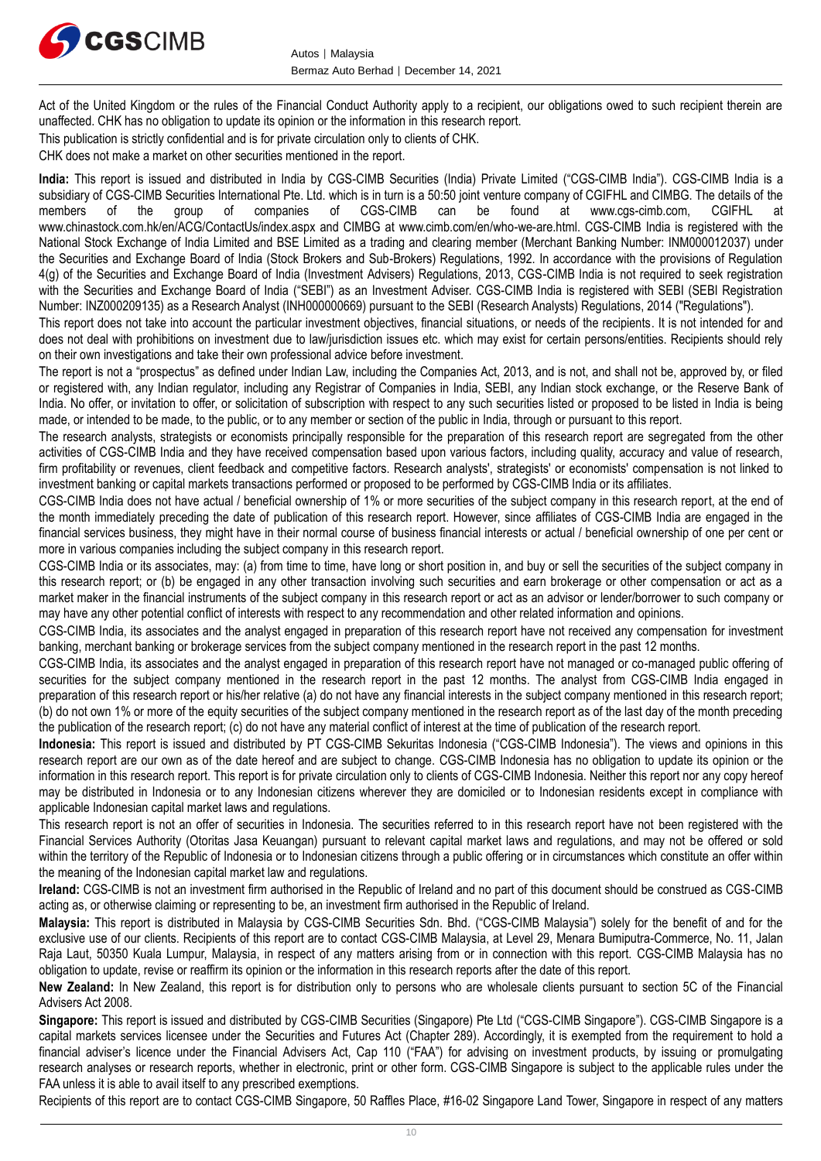

Act of the United Kingdom or the rules of the Financial Conduct Authority apply to a recipient, our obligations owed to such recipient therein are unaffected. CHK has no obligation to update its opinion or the information in this research report.

This publication is strictly confidential and is for private circulation only to clients of CHK.

CHK does not make a market on other securities mentioned in the report.

**India:** This report is issued and distributed in India by CGS-CIMB Securities (India) Private Limited ("CGS-CIMB India"). CGS-CIMB India is a subsidiary of CGS-CIMB Securities International Pte. Ltd. which is in turn is a 50:50 joint venture company of CGIFHL and CIMBG. The details of the members of the group of companies of CGS-CIMB can be found at www.cos-cimb members of the group of companies of CGS-CIMB can be found at www.cgs-cimb.com, CGIFHL at www.chinastock.com.hk/en/ACG/ContactUs/index.aspx and CIMBG at www.cimb.com/en/who-we-are.html. CGS-CIMB India is registered with the National Stock Exchange of India Limited and BSE Limited as a trading and clearing member (Merchant Banking Number: INM000012037) under the Securities and Exchange Board of India (Stock Brokers and Sub-Brokers) Regulations, 1992. In accordance with the provisions of Regulation 4(g) of the Securities and Exchange Board of India (Investment Advisers) Regulations, 2013, CGS-CIMB India is not required to seek registration with the Securities and Exchange Board of India ("SEBI") as an Investment Adviser. CGS-CIMB India is registered with SEBI (SEBI Registration Number: INZ000209135) as a Research Analyst (INH000000669) pursuant to the SEBI (Research Analysts) Regulations, 2014 ("Regulations").

This report does not take into account the particular investment objectives, financial situations, or needs of the recipients. It is not intended for and does not deal with prohibitions on investment due to law/jurisdiction issues etc. which may exist for certain persons/entities. Recipients should rely on their own investigations and take their own professional advice before investment.

The report is not a "prospectus" as defined under Indian Law, including the Companies Act, 2013, and is not, and shall not be, approved by, or filed or registered with, any Indian regulator, including any Registrar of Companies in India, SEBI, any Indian stock exchange, or the Reserve Bank of India. No offer, or invitation to offer, or solicitation of subscription with respect to any such securities listed or proposed to be listed in India is being made, or intended to be made, to the public, or to any member or section of the public in India, through or pursuant to this report.

The research analysts, strategists or economists principally responsible for the preparation of this research report are segregated from the other activities of CGS-CIMB India and they have received compensation based upon various factors, including quality, accuracy and value of research, firm profitability or revenues, client feedback and competitive factors. Research analysts', strategists' or economists' compensation is not linked to investment banking or capital markets transactions performed or proposed to be performed by CGS-CIMB India or its affiliates.

CGS-CIMB India does not have actual / beneficial ownership of 1% or more securities of the subject company in this research report, at the end of the month immediately preceding the date of publication of this research report. However, since affiliates of CGS-CIMB India are engaged in the financial services business, they might have in their normal course of business financial interests or actual / beneficial ownership of one per cent or more in various companies including the subject company in this research report.

CGS-CIMB India or its associates, may: (a) from time to time, have long or short position in, and buy or sell the securities of the subject company in this research report; or (b) be engaged in any other transaction involving such securities and earn brokerage or other compensation or act as a market maker in the financial instruments of the subject company in this research report or act as an advisor or lender/borrower to such company or may have any other potential conflict of interests with respect to any recommendation and other related information and opinions.

CGS-CIMB India, its associates and the analyst engaged in preparation of this research report have not received any compensation for investment banking, merchant banking or brokerage services from the subject company mentioned in the research report in the past 12 months.

CGS-CIMB India, its associates and the analyst engaged in preparation of this research report have not managed or co-managed public offering of securities for the subject company mentioned in the research report in the past 12 months. The analyst from CGS-CIMB India engaged in preparation of this research report or his/her relative (a) do not have any financial interests in the subject company mentioned in this research report; (b) do not own 1% or more of the equity securities of the subject company mentioned in the research report as of the last day of the month preceding the publication of the research report; (c) do not have any material conflict of interest at the time of publication of the research report.

**Indonesia:** This report is issued and distributed by PT CGS-CIMB Sekuritas Indonesia ("CGS-CIMB Indonesia"). The views and opinions in this research report are our own as of the date hereof and are subject to change. CGS-CIMB Indonesia has no obligation to update its opinion or the information in this research report. This report is for private circulation only to clients of CGS-CIMB Indonesia. Neither this report nor any copy hereof may be distributed in Indonesia or to any Indonesian citizens wherever they are domiciled or to Indonesian residents except in compliance with applicable Indonesian capital market laws and regulations.

This research report is not an offer of securities in Indonesia. The securities referred to in this research report have not been registered with the Financial Services Authority (Otoritas Jasa Keuangan) pursuant to relevant capital market laws and regulations, and may not be offered or sold within the territory of the Republic of Indonesia or to Indonesian citizens through a public offering or in circumstances which constitute an offer within the meaning of the Indonesian capital market law and regulations.

**Ireland:** CGS-CIMB is not an investment firm authorised in the Republic of Ireland and no part of this document should be construed as CGS-CIMB acting as, or otherwise claiming or representing to be, an investment firm authorised in the Republic of Ireland.

**Malaysia:** This report is distributed in Malaysia by CGS-CIMB Securities Sdn. Bhd. ("CGS-CIMB Malaysia") solely for the benefit of and for the exclusive use of our clients. Recipients of this report are to contact CGS-CIMB Malaysia, at Level 29, Menara Bumiputra-Commerce, No. 11, Jalan Raja Laut, 50350 Kuala Lumpur, Malaysia, in respect of any matters arising from or in connection with this report. CGS-CIMB Malaysia has no obligation to update, revise or reaffirm its opinion or the information in this research reports after the date of this report.

**New Zealand:** In New Zealand, this report is for distribution only to persons who are wholesale clients pursuant to section 5C of the Financial Advisers Act 2008.

**Singapore:** This report is issued and distributed by CGS-CIMB Securities (Singapore) Pte Ltd ("CGS-CIMB Singapore"). CGS-CIMB Singapore is a capital markets services licensee under the Securities and Futures Act (Chapter 289). Accordingly, it is exempted from the requirement to hold a financial adviser's licence under the Financial Advisers Act, Cap 110 ("FAA") for advising on investment products, by issuing or promulgating research analyses or research reports, whether in electronic, print or other form. CGS-CIMB Singapore is subject to the applicable rules under the FAA unless it is able to avail itself to any prescribed exemptions.

Recipients of this report are to contact CGS-CIMB Singapore, 50 Raffles Place, #16-02 Singapore Land Tower, Singapore in respect of any matters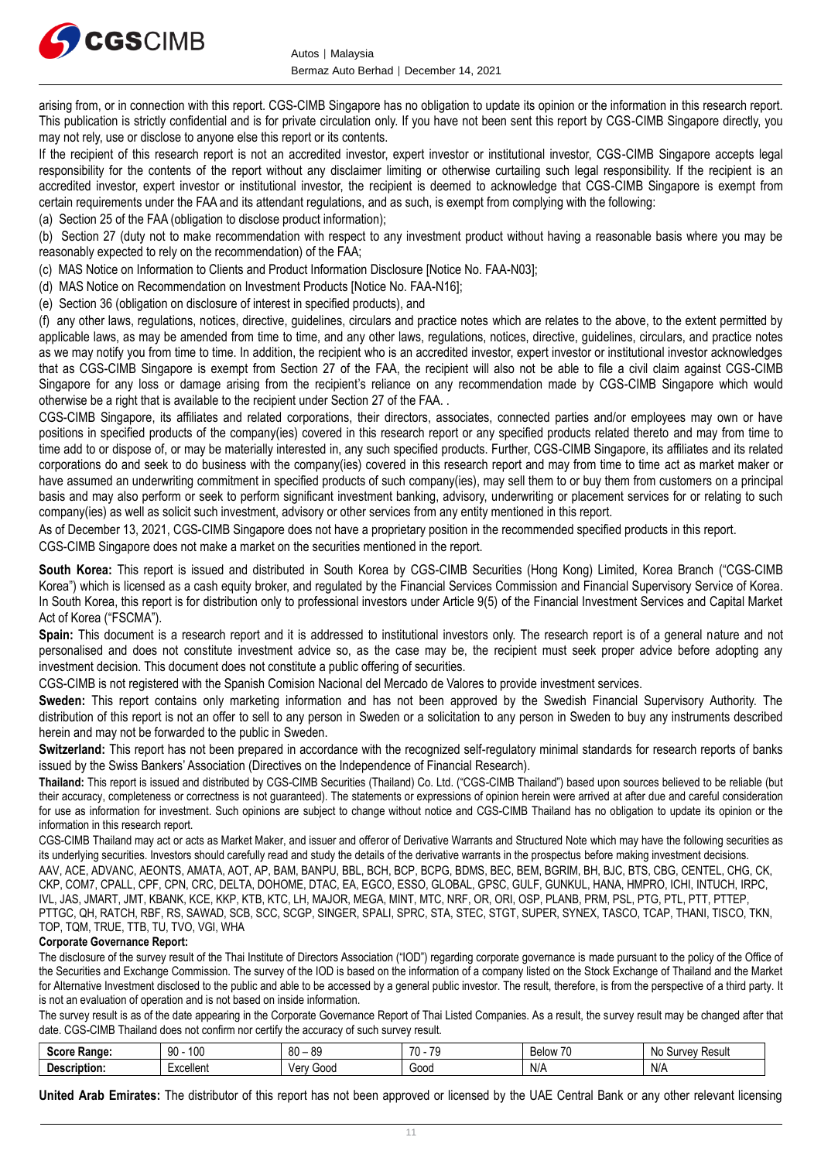

arising from, or in connection with this report. CGS-CIMB Singapore has no obligation to update its opinion or the information in this research report. This publication is strictly confidential and is for private circulation only. If you have not been sent this report by CGS-CIMB Singapore directly, you may not rely, use or disclose to anyone else this report or its contents.

If the recipient of this research report is not an accredited investor, expert investor or institutional investor, CGS-CIMB Singapore accepts legal responsibility for the contents of the report without any disclaimer limiting or otherwise curtailing such legal responsibility. If the recipient is an accredited investor, expert investor or institutional investor, the recipient is deemed to acknowledge that CGS-CIMB Singapore is exempt from certain requirements under the FAA and its attendant regulations, and as such, is exempt from complying with the following:

(a) Section 25 of the FAA (obligation to disclose product information);

(b) Section 27 (duty not to make recommendation with respect to any investment product without having a reasonable basis where you may be reasonably expected to rely on the recommendation) of the FAA;

(c) MAS Notice on Information to Clients and Product Information Disclosure [Notice No. FAA-N03];

- (d) MAS Notice on Recommendation on Investment Products [Notice No. FAA-N16];
- (e) Section 36 (obligation on disclosure of interest in specified products), and

(f) any other laws, regulations, notices, directive, guidelines, circulars and practice notes which are relates to the above, to the extent permitted by applicable laws, as may be amended from time to time, and any other laws, regulations, notices, directive, guidelines, circulars, and practice notes as we may notify you from time to time. In addition, the recipient who is an accredited investor, expert investor or institutional investor acknowledges that as CGS-CIMB Singapore is exempt from Section 27 of the FAA, the recipient will also not be able to file a civil claim against CGS-CIMB Singapore for any loss or damage arising from the recipient's reliance on any recommendation made by CGS-CIMB Singapore which would otherwise be a right that is available to the recipient under Section 27 of the FAA. .

CGS-CIMB Singapore, its affiliates and related corporations, their directors, associates, connected parties and/or employees may own or have positions in specified products of the company(ies) covered in this research report or any specified products related thereto and may from time to time add to or dispose of, or may be materially interested in, any such specified products. Further, CGS-CIMB Singapore, its affiliates and its related corporations do and seek to do business with the company(ies) covered in this research report and may from time to time act as market maker or have assumed an underwriting commitment in specified products of such company(ies), may sell them to or buy them from customers on a principal basis and may also perform or seek to perform significant investment banking, advisory, underwriting or placement services for or relating to such company(ies) as well as solicit such investment, advisory or other services from any entity mentioned in this report.

As of December 13, 2021, CGS-CIMB Singapore does not have a proprietary position in the recommended specified products in this report.

CGS-CIMB Singapore does not make a market on the securities mentioned in the report.

**South Korea:** This report is issued and distributed in South Korea by CGS-CIMB Securities (Hong Kong) Limited, Korea Branch ("CGS-CIMB Korea") which is licensed as a cash equity broker, and regulated by the Financial Services Commission and Financial Supervisory Service of Korea. In South Korea, this report is for distribution only to professional investors under Article 9(5) of the Financial Investment Services and Capital Market Act of Korea ("FSCMA").

**Spain:** This document is a research report and it is addressed to institutional investors only. The research report is of a general nature and not personalised and does not constitute investment advice so, as the case may be, the recipient must seek proper advice before adopting any investment decision. This document does not constitute a public offering of securities.

CGS-CIMB is not registered with the Spanish Comision Nacional del Mercado de Valores to provide investment services.

**Sweden:** This report contains only marketing information and has not been approved by the Swedish Financial Supervisory Authority. The distribution of this report is not an offer to sell to any person in Sweden or a solicitation to any person in Sweden to buy any instruments described herein and may not be forwarded to the public in Sweden.

**Switzerland:** This report has not been prepared in accordance with the recognized self-regulatory minimal standards for research reports of banks issued by the Swiss Bankers' Association (Directives on the Independence of Financial Research).

**Thailand:** This report is issued and distributed by CGS-CIMB Securities (Thailand) Co. Ltd. ("CGS-CIMB Thailand") based upon sources believed to be reliable (but their accuracy, completeness or correctness is not guaranteed). The statements or expressions of opinion herein were arrived at after due and careful consideration for use as information for investment. Such opinions are subject to change without notice and CGS-CIMB Thailand has no obligation to update its opinion or the information in this research report.

CGS-CIMB Thailand may act or acts as Market Maker, and issuer and offeror of Derivative Warrants and Structured Note which may have the following securities as its underlying securities. Investors should carefully read and study the details of the derivative warrants in the prospectus before making investment decisions.

AAV, ACE, ADVANC, AEONTS, AMATA, AOT, AP, BAM, BANPU, BBL, BCH, BCP, BCPG, BDMS, BEC, BEM, BGRIM, BH, BJC, BTS, CBG, CENTEL, CHG, CK, CKP, COM7, CPALL, CPF, CPN, CRC, DELTA, DOHOME, DTAC, EA, EGCO, ESSO, GLOBAL, GPSC, GULF, GUNKUL, HANA, HMPRO, ICHI, INTUCH, IRPC, IVL, JAS, JMART, JMT, KBANK, KCE, KKP, KTB, KTC, LH, MAJOR, MEGA, MINT, MTC, NRF, OR, ORI, OSP, PLANB, PRM, PSL, PTG, PTL, PTT, PTTEP, PTTGC, QH, RATCH, RBF, RS, SAWAD, SCB, SCC, SCGP, SINGER, SPALI, SPRC, STA, STEC, STGT, SUPER, SYNEX, TASCO, TCAP, THANI, TISCO, TKN, TOP, TQM, TRUE, TTB, TU, TVO, VGI, WHA

## **Corporate Governance Report:**

The disclosure of the survey result of the Thai Institute of Directors Association ("IOD") regarding corporate governance is made pursuant to the policy of the Office of the Securities and Exchange Commission. The survey of the IOD is based on the information of a company listed on the Stock Exchange of Thailand and the Market for Alternative Investment disclosed to the public and able to be accessed by a general public investor. The result, therefore, is from the perspective of a third party. It is not an evaluation of operation and is not based on inside information.

The survey result is as of the date appearing in the Corporate Governance Report of Thai Listed Companies. As a result, the survey result may be changed after that date. CGS-CIMB Thailand does not confirm nor certify the accuracy of such survey result.

| score.<br><b>Range:</b><br>יטטס | 100<br>nn<br>$\cdot$ | <b>QC</b><br>R∩<br>vv<br>vu | $\overline{\phantom{a}}$<br>70<br>$\mathbf{r}$ | $\rightarrow$<br>$\prime$<br><b>Below</b> | <b>Resul</b><br>$m \wedge n$<br>ЮU<br>ำเ |
|---------------------------------|----------------------|-----------------------------|------------------------------------------------|-------------------------------------------|------------------------------------------|
| 'escription.<br>υes             | xcellent             | G000<br>verv                | Good                                           | N/A                                       | N/F                                      |

**United Arab Emirates:** The distributor of this report has not been approved or licensed by the UAE Central Bank or any other relevant licensing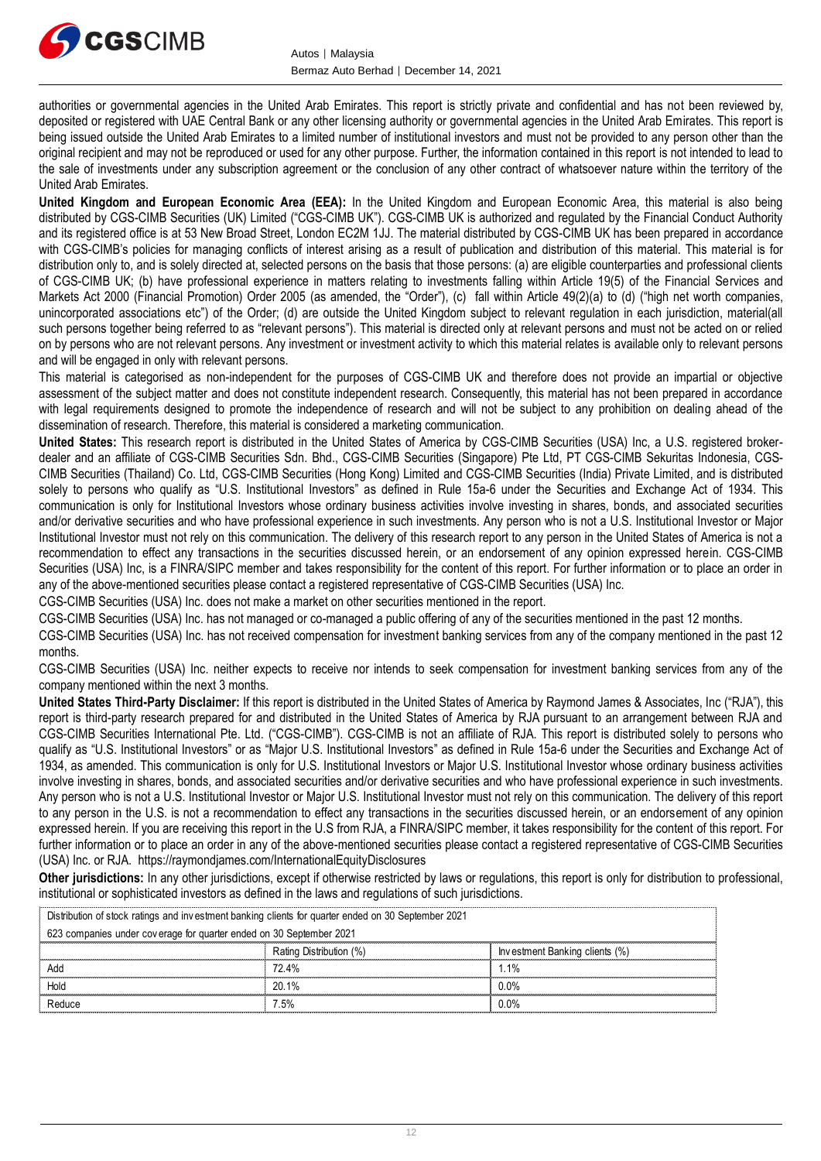

authorities or governmental agencies in the United Arab Emirates. This report is strictly private and confidential and has not been reviewed by, deposited or registered with UAE Central Bank or any other licensing authority or governmental agencies in the United Arab Emirates. This report is being issued outside the United Arab Emirates to a limited number of institutional investors and must not be provided to any person other than the original recipient and may not be reproduced or used for any other purpose. Further, the information contained in this report is not intended to lead to the sale of investments under any subscription agreement or the conclusion of any other contract of whatsoever nature within the territory of the United Arab Emirates.

**United Kingdom and European Economic Area (EEA):** In the United Kingdom and European Economic Area, this material is also being distributed by CGS-CIMB Securities (UK) Limited ("CGS-CIMB UK"). CGS-CIMB UK is authorized and regulated by the Financial Conduct Authority and its registered office is at 53 New Broad Street, London EC2M 1JJ. The material distributed by CGS-CIMB UK has been prepared in accordance with CGS-CIMB's policies for managing conflicts of interest arising as a result of publication and distribution of this material. This material is for distribution only to, and is solely directed at, selected persons on the basis that those persons: (a) are eligible counterparties and professional clients of CGS-CIMB UK; (b) have professional experience in matters relating to investments falling within Article 19(5) of the Financial Services and Markets Act 2000 (Financial Promotion) Order 2005 (as amended, the "Order"), (c) fall within Article 49(2)(a) to (d) ("high net worth companies, unincorporated associations etc") of the Order; (d) are outside the United Kingdom subject to relevant regulation in each jurisdiction, material(all such persons together being referred to as "relevant persons"). This material is directed only at relevant persons and must not be acted on or relied on by persons who are not relevant persons. Any investment or investment activity to which this material relates is available only to relevant persons and will be engaged in only with relevant persons.

This material is categorised as non-independent for the purposes of CGS-CIMB UK and therefore does not provide an impartial or objective assessment of the subject matter and does not constitute independent research. Consequently, this material has not been prepared in accordance with legal requirements designed to promote the independence of research and will not be subject to any prohibition on dealing ahead of the dissemination of research. Therefore, this material is considered a marketing communication.

**United States:** This research report is distributed in the United States of America by CGS-CIMB Securities (USA) Inc, a U.S. registered brokerdealer and an affiliate of CGS-CIMB Securities Sdn. Bhd., CGS-CIMB Securities (Singapore) Pte Ltd, PT CGS-CIMB Sekuritas Indonesia, CGS-CIMB Securities (Thailand) Co. Ltd, CGS-CIMB Securities (Hong Kong) Limited and CGS-CIMB Securities (India) Private Limited, and is distributed solely to persons who qualify as "U.S. Institutional Investors" as defined in Rule 15a-6 under the Securities and Exchange Act of 1934. This communication is only for Institutional Investors whose ordinary business activities involve investing in shares, bonds, and associated securities and/or derivative securities and who have professional experience in such investments. Any person who is not a U.S. Institutional Investor or Major Institutional Investor must not rely on this communication. The delivery of this research report to any person in the United States of America is not a recommendation to effect any transactions in the securities discussed herein, or an endorsement of any opinion expressed herein. CGS-CIMB Securities (USA) Inc, is a FINRA/SIPC member and takes responsibility for the content of this report. For further information or to place an order in any of the above-mentioned securities please contact a registered representative of CGS-CIMB Securities (USA) Inc.

CGS-CIMB Securities (USA) Inc. does not make a market on other securities mentioned in the report.

CGS-CIMB Securities (USA) Inc. has not managed or co-managed a public offering of any of the securities mentioned in the past 12 months.

CGS-CIMB Securities (USA) Inc. has not received compensation for investment banking services from any of the company mentioned in the past 12 months.

CGS-CIMB Securities (USA) Inc. neither expects to receive nor intends to seek compensation for investment banking services from any of the company mentioned within the next 3 months.

**United States Third-Party Disclaimer:** If this report is distributed in the United States of America by Raymond James & Associates, Inc ("RJA"), this report is third-party research prepared for and distributed in the United States of America by RJA pursuant to an arrangement between RJA and CGS-CIMB Securities International Pte. Ltd. ("CGS-CIMB"). CGS-CIMB is not an affiliate of RJA. This report is distributed solely to persons who qualify as "U.S. Institutional Investors" or as "Major U.S. Institutional Investors" as defined in Rule 15a-6 under the Securities and Exchange Act of 1934, as amended. This communication is only for U.S. Institutional Investors or Major U.S. Institutional Investor whose ordinary business activities involve investing in shares, bonds, and associated securities and/or derivative securities and who have professional experience in such investments. Any person who is not a U.S. Institutional Investor or Major U.S. Institutional Investor must not rely on this communication. The delivery of this report to any person in the U.S. is not a recommendation to effect any transactions in the securities discussed herein, or an endorsement of any opinion expressed herein. If you are receiving this report in the U.S from RJA, a FINRA/SIPC member, it takes responsibility for the content of this report. For further information or to place an order in any of the above-mentioned securities please contact a registered representative of CGS-CIMB Securities (USA) Inc. or RJA. https://raymondjames.com/InternationalEquityDisclosures

**Other jurisdictions:** In any other jurisdictions, except if otherwise restricted by laws or regulations, this report is only for distribution to professional, institutional or sophisticated investors as defined in the laws and regulations of such jurisdictions. JSA)Inc. or RJA. https://raymondjames.com/InternationalEquityDisclosures<br> **ther jurisdictions:** In any other jurisdictions, except if otherwise restricted by laws<br>
stitutional or sophisticated investors as defined in the

| institutional or sophisticated investors as defined in the laws and regulations of such jurisdictions. |                         | <b>Other jurisdictions:</b> In any other jurisdictions, except if otherwise restricted by laws or regulations, this report is only for distribution to |
|--------------------------------------------------------------------------------------------------------|-------------------------|--------------------------------------------------------------------------------------------------------------------------------------------------------|
| Distribution of stock ratings and investment banking clients for quarter ended on 30 September 2021    |                         |                                                                                                                                                        |
| 623 companies under coverage for quarter ended on 30 September 2021                                    |                         |                                                                                                                                                        |
|                                                                                                        | Rating Distribution (%) | Investment Banking clients (%)                                                                                                                         |
| hhA                                                                                                    | 72.4%                   | 1.1%                                                                                                                                                   |
| Hold                                                                                                   | 20.1%                   | $0.0\%$                                                                                                                                                |
| Reduce                                                                                                 | 7.5%                    | በ በ%                                                                                                                                                   |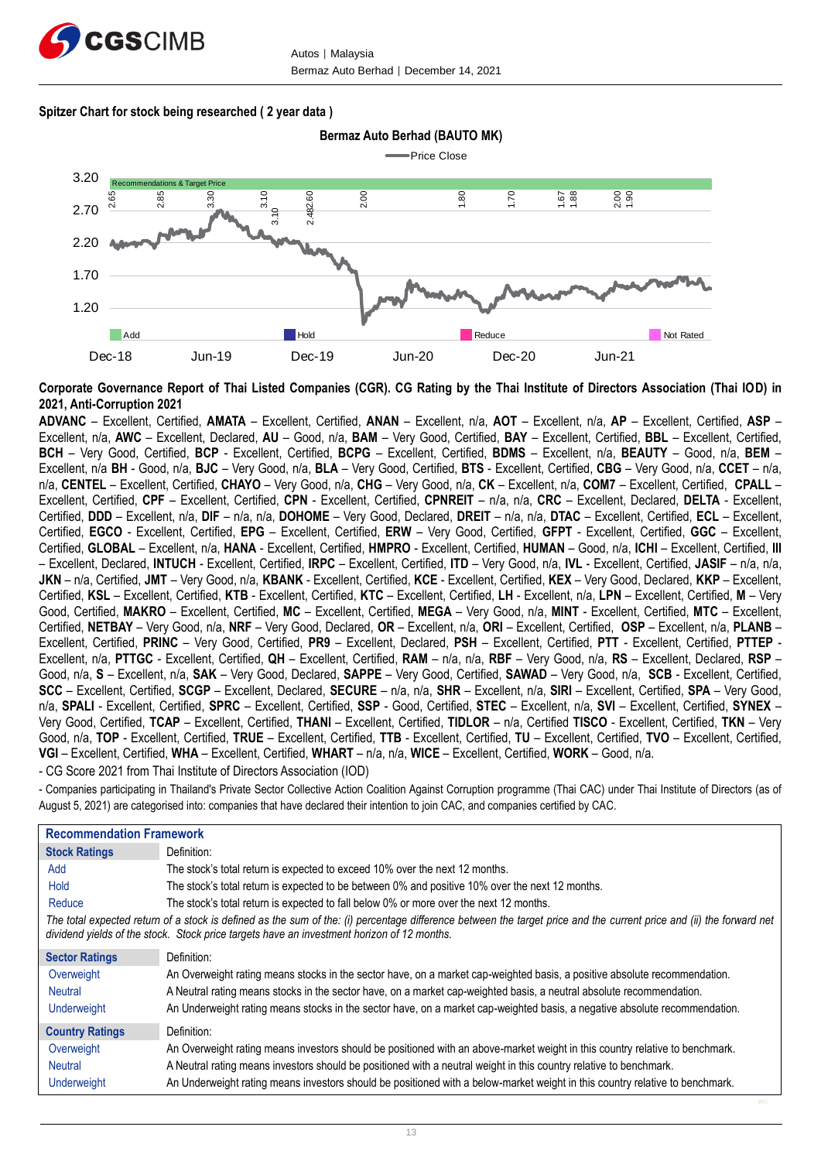

#### **Spitzer Chart for stock being researched ( 2 year data )**



**Corporate Governance Report of Thai Listed Companies (CGR). CG Rating by the Thai Institute of Directors Association (Thai IOD) in 2021, Anti-Corruption 2021**

**ADVANC** – Excellent, Certified, **AMATA** – Excellent, Certified, **ANAN** – Excellent, n/a, **AOT** – Excellent, n/a, **AP** – Excellent, Certified, **ASP** – Excellent, n/a, **AWC** – Excellent, Declared, **AU** – Good, n/a, **BAM** – Very Good, Certified, **BAY** – Excellent, Certified, **BBL** – Excellent, Certified, **BCH** – Very Good, Certified, **BCP** - Excellent, Certified, **BCPG** – Excellent, Certified, **BDMS** – Excellent, n/a, **BEAUTY** – Good, n/a, **BEM** – Excellent, n/a **BH** - Good, n/a, **BJC** – Very Good, n/a, **BLA** – Very Good, Certified, **BTS** - Excellent, Certified, **CBG** – Very Good, n/a, **CCET** – n/a, n/a, **CENTEL** – Excellent, Certified, **CHAYO** – Very Good, n/a, **CHG** – Very Good, n/a, **CK** – Excellent, n/a, **COM7** – Excellent, Certified, **CPALL** – Excellent, Certified, **CPF** – Excellent, Certified, **CPN** - Excellent, Certified, **CPNREIT** – n/a, n/a, **CRC** – Excellent, Declared, **DELTA** - Excellent, Certified, **DDD** – Excellent, n/a, **DIF** – n/a, n/a, **DOHOME** – Very Good, Declared, **DREIT** – n/a, n/a, **DTAC** – Excellent, Certified, **ECL** – Excellent, Certified, **EGCO** - Excellent, Certified, **EPG** – Excellent, Certified, **ERW** – Very Good, Certified, **GFPT** - Excellent, Certified, **GGC** – Excellent, Certified, **GLOBAL** – Excellent, n/a, **HANA** - Excellent, Certified, **HMPRO** - Excellent, Certified, **HUMAN** – Good, n/a, **ICHI** – Excellent, Certified, **III** – Excellent, Declared, **INTUCH** - Excellent, Certified, **IRPC** – Excellent, Certified, **ITD** – Very Good, n/a, **IVL** - Excellent, Certified, **JASIF** – n/a, n/a, **JKN** – n/a, Certified, **JMT** – Very Good, n/a, **KBANK** - Excellent, Certified, **KCE** - Excellent, Certified, **KEX** – Very Good, Declared, **KKP** – Excellent, Certified, **KSL** – Excellent, Certified, **KTB** - Excellent, Certified, **KTC** – Excellent, Certified, **LH** - Excellent, n/a, **LPN** – Excellent, Certified, **M** – Very Good, Certified, **MAKRO** – Excellent, Certified, **MC** – Excellent, Certified, **MEGA** – Very Good, n/a, **MINT** - Excellent, Certified, **MTC** – Excellent, Certified, **NETBAY** – Very Good, n/a, **NRF** – Very Good, Declared, **OR** – Excellent, n/a, **ORI** – Excellent, Certified, **OSP** – Excellent, n/a, **PLANB** – Excellent, Certified, **PRINC** – Very Good, Certified, **PR9** – Excellent, Declared, **PSH** – Excellent, Certified, **PTT** - Excellent, Certified, **PTTEP** - Excellent, n/a, **PTTGC** - Excellent, Certified, **QH** – Excellent, Certified, **RAM** – n/a, n/a, **RBF** – Very Good, n/a, **RS** – Excellent, Declared, **RSP** – Good, n/a, **S** – Excellent, n/a, **SAK** – Very Good, Declared, **SAPPE** – Very Good, Certified, **SAWAD** – Very Good, n/a, **SCB** - Excellent, Certified, **SCC** – Excellent, Certified, **SCGP** – Excellent, Declared, **SECURE** – n/a, n/a, **SHR** – Excellent, n/a, **SIRI** – Excellent, Certified, **SPA** – Very Good, n/a, **SPALI** - Excellent, Certified, **SPRC** – Excellent, Certified, **SSP** - Good, Certified, **STEC** – Excellent, n/a, **SVI** – Excellent, Certified, **SYNEX** – Very Good, Certified, **TCAP** – Excellent, Certified, **THANI** – Excellent, Certified, **TIDLOR** – n/a, Certified **TISCO** - Excellent, Certified, **TKN** – Very Good, n/a, **TOP** - Excellent, Certified, **TRUE** – Excellent, Certified, **TTB** - Excellent, Certified, **TU** – Excellent, Certified, **TVO** – Excellent, Certified, **VGI** – Excellent, Certified, **WHA** – Excellent, Certified, **WHART** – n/a, n/a, **WICE** – Excellent, Certified, **WORK** – Good, n/a. - CG Score 2021 from Thai Institute of Directors Association (IOD)

- Companies participating in Thailand's Private Sector Collective Action Coalition Against Corruption programme (Thai CAC) under Thai Institute of Directors (as of August 5, 2021) are categorised into: companies that have declared their intention to join CAC, and companies certified by CAC.

| <b>Recommendation Framework</b>                                                                                                                                                                                                                                    |                                                                                                                              |  |  |  |
|--------------------------------------------------------------------------------------------------------------------------------------------------------------------------------------------------------------------------------------------------------------------|------------------------------------------------------------------------------------------------------------------------------|--|--|--|
| <b>Stock Ratings</b>                                                                                                                                                                                                                                               | Definition:                                                                                                                  |  |  |  |
| Add                                                                                                                                                                                                                                                                | The stock's total return is expected to exceed 10% over the next 12 months.                                                  |  |  |  |
| Hold                                                                                                                                                                                                                                                               | The stock's total return is expected to be between 0% and positive 10% over the next 12 months.                              |  |  |  |
| Reduce                                                                                                                                                                                                                                                             | The stock's total return is expected to fall below 0% or more over the next 12 months.                                       |  |  |  |
| The total expected return of a stock is defined as the sum of the: (i) percentage difference between the target price and the current price and (ii) the forward net<br>dividend yields of the stock. Stock price targets have an investment horizon of 12 months. |                                                                                                                              |  |  |  |
| <b>Sector Ratings</b>                                                                                                                                                                                                                                              | Definition:                                                                                                                  |  |  |  |
| Overweight                                                                                                                                                                                                                                                         | An Overweight rating means stocks in the sector have, on a market cap-weighted basis, a positive absolute recommendation.    |  |  |  |
| <b>Neutral</b>                                                                                                                                                                                                                                                     | A Neutral rating means stocks in the sector have, on a market cap-weighted basis, a neutral absolute recommendation.         |  |  |  |
| <b>Underweight</b>                                                                                                                                                                                                                                                 | An Underweight rating means stocks in the sector have, on a market cap-weighted basis, a negative absolute recommendation.   |  |  |  |
| <b>Country Ratings</b>                                                                                                                                                                                                                                             | Definition:                                                                                                                  |  |  |  |
| Overweight                                                                                                                                                                                                                                                         | An Overweight rating means investors should be positioned with an above-market weight in this country relative to benchmark. |  |  |  |
| <b>Neutral</b>                                                                                                                                                                                                                                                     | A Neutral rating means investors should be positioned with a neutral weight in this country relative to benchmark.           |  |  |  |
| <b>Underweight</b>                                                                                                                                                                                                                                                 | An Underweight rating means investors should be positioned with a below-market weight in this country relative to benchmark. |  |  |  |